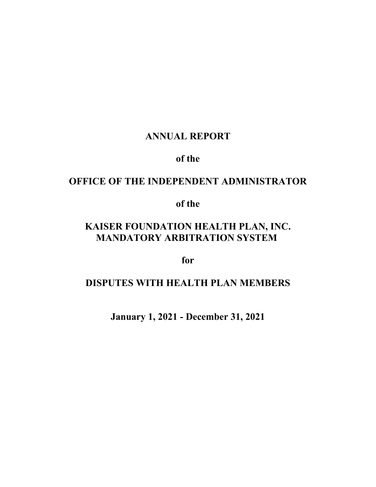# **ANNUAL REPORT**

# **of the**

# **OFFICE OF THE INDEPENDENT ADMINISTRATOR**

# **of the**

# **KAISER FOUNDATION HEALTH PLAN, INC. MANDATORY ARBITRATION SYSTEM**

**for**

# **DISPUTES WITH HEALTH PLAN MEMBERS**

**January 1, 2021 - December 31, 2021**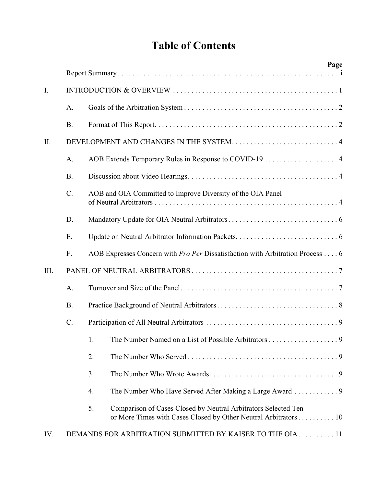# **Table of Contents**

|      |                 | Page                                                                                                                                    |  |  |  |  |
|------|-----------------|-----------------------------------------------------------------------------------------------------------------------------------------|--|--|--|--|
|      |                 |                                                                                                                                         |  |  |  |  |
| I.   |                 |                                                                                                                                         |  |  |  |  |
|      | A.              |                                                                                                                                         |  |  |  |  |
|      | <b>B.</b>       |                                                                                                                                         |  |  |  |  |
| II.  |                 |                                                                                                                                         |  |  |  |  |
|      | A.              |                                                                                                                                         |  |  |  |  |
|      | <b>B.</b>       |                                                                                                                                         |  |  |  |  |
|      | $\mathcal{C}$ . | AOB and OIA Committed to Improve Diversity of the OIA Panel                                                                             |  |  |  |  |
|      | D.              |                                                                                                                                         |  |  |  |  |
|      | E.              |                                                                                                                                         |  |  |  |  |
|      | F.              | AOB Expresses Concern with Pro Per Dissatisfaction with Arbitration Process 6                                                           |  |  |  |  |
| III. |                 |                                                                                                                                         |  |  |  |  |
|      | A.              |                                                                                                                                         |  |  |  |  |
|      | <b>B.</b>       |                                                                                                                                         |  |  |  |  |
|      | $C$ .           |                                                                                                                                         |  |  |  |  |
|      |                 | 1.                                                                                                                                      |  |  |  |  |
|      |                 | 2.                                                                                                                                      |  |  |  |  |
|      |                 | 3.                                                                                                                                      |  |  |  |  |
|      |                 | The Number Who Have Served After Making a Large Award  9<br>4.                                                                          |  |  |  |  |
|      |                 | 5.<br>Comparison of Cases Closed by Neutral Arbitrators Selected Ten<br>or More Times with Cases Closed by Other Neutral Arbitrators 10 |  |  |  |  |
| IV.  |                 | DEMANDS FOR ARBITRATION SUBMITTED BY KAISER TO THE OIA 11                                                                               |  |  |  |  |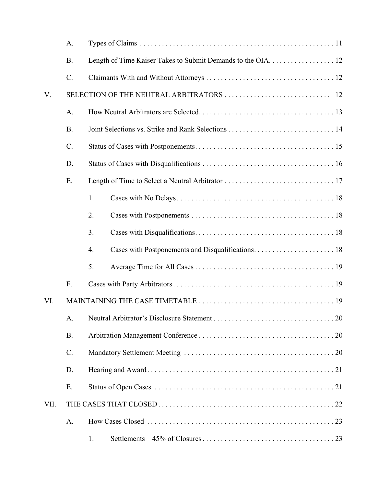|      | A.        |                                                              |
|------|-----------|--------------------------------------------------------------|
|      | <b>B.</b> | Length of Time Kaiser Takes to Submit Demands to the OIA. 12 |
|      | $C$ .     |                                                              |
| V.   |           |                                                              |
|      | A.        |                                                              |
|      | <b>B.</b> |                                                              |
|      | C.        |                                                              |
|      | D.        |                                                              |
|      | E.        |                                                              |
|      |           | 1.                                                           |
|      |           | 2.                                                           |
|      |           | 3.                                                           |
|      |           | 4.                                                           |
|      |           | 5.                                                           |
|      | F.        |                                                              |
| VI.  |           |                                                              |
|      | A.        |                                                              |
|      | <b>B.</b> |                                                              |
|      | $C$ .     |                                                              |
|      | D.        |                                                              |
|      | E.        |                                                              |
| VII. |           |                                                              |
|      | A.        |                                                              |
|      |           | 1.                                                           |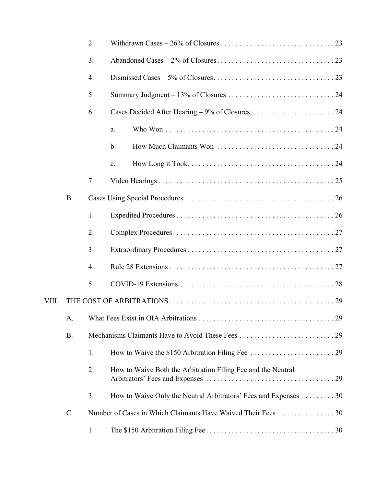|       |           | 2.               |                                                                 |
|-------|-----------|------------------|-----------------------------------------------------------------|
|       |           | 3.               |                                                                 |
|       |           | 4.               |                                                                 |
|       |           | 5.               |                                                                 |
|       |           | 6.               |                                                                 |
|       |           |                  | a.                                                              |
|       |           |                  | b.                                                              |
|       |           |                  | c.                                                              |
|       |           | 7.               |                                                                 |
|       | <b>B.</b> |                  |                                                                 |
|       |           | 1.               |                                                                 |
|       |           | 2.               |                                                                 |
|       |           | 3.               |                                                                 |
|       |           | $\overline{4}$ . |                                                                 |
|       |           | 5.               |                                                                 |
| VIII. |           |                  |                                                                 |
|       | A.        |                  |                                                                 |
|       | <b>B.</b> |                  |                                                                 |
|       |           | 1.               |                                                                 |
|       |           | 2.               | How to Waive Both the Arbitration Filing Fee and the Neutral    |
|       |           | 3.               | How to Waive Only the Neutral Arbitrators' Fees and Expenses 30 |
|       | C.        |                  | Number of Cases in Which Claimants Have Waived Their Fees 30    |
|       |           | 1.               |                                                                 |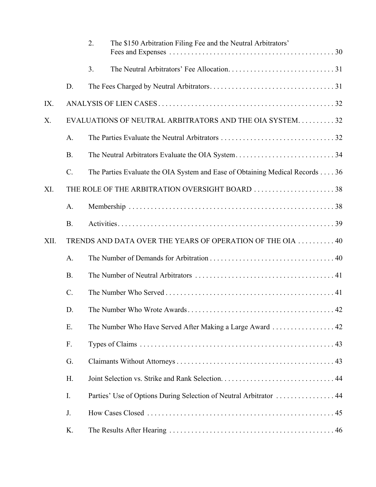|      |             | 2. | The \$150 Arbitration Filing Fee and the Neutral Arbitrators'                |
|------|-------------|----|------------------------------------------------------------------------------|
|      |             | 3. |                                                                              |
|      | D.          |    |                                                                              |
| IX.  |             |    |                                                                              |
| X.   |             |    | EVALUATIONS OF NEUTRAL ARBITRATORS AND THE OIA SYSTEM32                      |
|      | A.          |    |                                                                              |
|      | <b>B.</b>   |    |                                                                              |
|      | $C$ .       |    | The Parties Evaluate the OIA System and Ease of Obtaining Medical Records 36 |
| XI.  |             |    | THE ROLE OF THE ARBITRATION OVERSIGHT BOARD 38                               |
|      | A.          |    |                                                                              |
|      | <b>B.</b>   |    |                                                                              |
| XII. |             |    | TRENDS AND DATA OVER THE YEARS OF OPERATION OF THE OIA  40                   |
|      | A.          |    |                                                                              |
|      | <b>B.</b>   |    |                                                                              |
|      | $C_{\cdot}$ |    |                                                                              |
|      | D.          |    |                                                                              |
|      | E.          |    |                                                                              |
|      | F.          |    |                                                                              |
|      | G.          |    |                                                                              |
|      | H.          |    |                                                                              |
|      | I.          |    | Parties' Use of Options During Selection of Neutral Arbitrator  44           |
|      | J.          |    |                                                                              |
|      | K.          |    |                                                                              |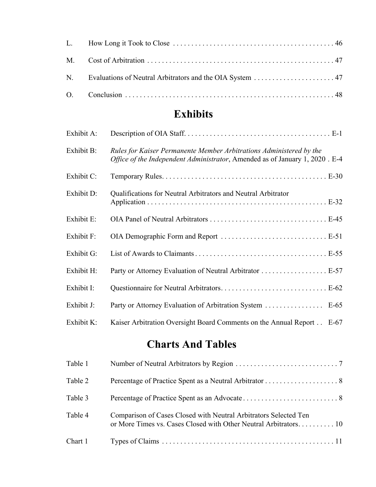# **Exhibits**

| Exhibit A: |                                                                                                                                                    |
|------------|----------------------------------------------------------------------------------------------------------------------------------------------------|
| Exhibit B: | Rules for Kaiser Permanente Member Arbitrations Administered by the<br>Office of the Independent Administrator, Amended as of January 1, 2020. E-4 |
| Exhibit C: |                                                                                                                                                    |
| Exhibit D: | Qualifications for Neutral Arbitrators and Neutral Arbitrator                                                                                      |
| Exhibit E: |                                                                                                                                                    |
| Exhibit F: |                                                                                                                                                    |
| Exhibit G: |                                                                                                                                                    |
| Exhibit H: |                                                                                                                                                    |
| Exhibit I: |                                                                                                                                                    |
| Exhibit J: | Party or Attorney Evaluation of Arbitration System  E-65                                                                                           |
| Exhibit K: | Kaiser Arbitration Oversight Board Comments on the Annual Report E-67                                                                              |

# **Charts And Tables**

| Table 1 |                                                                                                                                      |
|---------|--------------------------------------------------------------------------------------------------------------------------------------|
| Table 2 |                                                                                                                                      |
| Table 3 |                                                                                                                                      |
| Table 4 | Comparison of Cases Closed with Neutral Arbitrators Selected Ten<br>or More Times vs. Cases Closed with Other Neutral Arbitrators 10 |
| Chart 1 |                                                                                                                                      |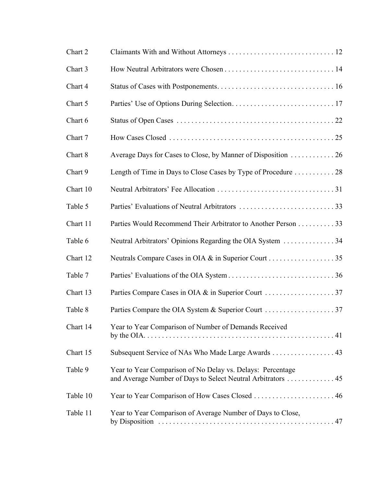| Chart 2  |                                                                                                                           |
|----------|---------------------------------------------------------------------------------------------------------------------------|
| Chart 3  |                                                                                                                           |
| Chart 4  |                                                                                                                           |
| Chart 5  |                                                                                                                           |
| Chart 6  |                                                                                                                           |
| Chart 7  |                                                                                                                           |
| Chart 8  |                                                                                                                           |
| Chart 9  |                                                                                                                           |
| Chart 10 |                                                                                                                           |
| Table 5  |                                                                                                                           |
| Chart 11 | Parties Would Recommend Their Arbitrator to Another Person 33                                                             |
| Table 6  | Neutral Arbitrators' Opinions Regarding the OIA System 34                                                                 |
| Chart 12 |                                                                                                                           |
| Table 7  |                                                                                                                           |
| Chart 13 |                                                                                                                           |
| Table 8  |                                                                                                                           |
| Chart 14 | Year to Year Comparison of Number of Demands Received                                                                     |
| Chart 15 | Subsequent Service of NAs Who Made Large Awards  43                                                                       |
| Table 9  | Year to Year Comparison of No Delay vs. Delays: Percentage<br>and Average Number of Days to Select Neutral Arbitrators 45 |
| Table 10 |                                                                                                                           |
| Table 11 | Year to Year Comparison of Average Number of Days to Close,                                                               |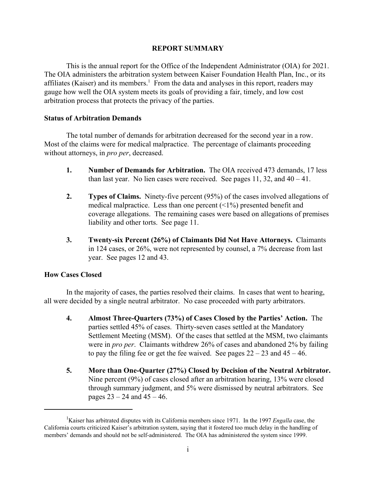# **REPORT SUMMARY**

This is the annual report for the Office of the Independent Administrator (OIA) for 2021. The OIA administers the arbitration system between Kaiser Foundation Health Plan, Inc., or its affiliates (Kaiser) and its members.<sup>1</sup> From the data and analyses in this report, readers may gauge how well the OIA system meets its goals of providing a fair, timely, and low cost arbitration process that protects the privacy of the parties.

# **Status of Arbitration Demands**

The total number of demands for arbitration decreased for the second year in a row. Most of the claims were for medical malpractice. The percentage of claimants proceeding without attorneys, in *pro per*, decreased.

- **1. Number of Demands for Arbitration.** The OIA received 473 demands, 17 less than last year. No lien cases were received. See pages 11, 32, and  $40 - 41$ .
- **2. Types of Claims.** Ninety-five percent (95%) of the cases involved allegations of medical malpractice. Less than one percent  $(1\%)$  presented benefit and coverage allegations. The remaining cases were based on allegations of premises liability and other torts. See page 11.
- **3. Twenty-six Percent (26%) of Claimants Did Not Have Attorneys.** Claimants in 124 cases, or 26%, were not represented by counsel, a 7% decrease from last year. See pages 12 and 43.

# **How Cases Closed**

In the majority of cases, the parties resolved their claims. In cases that went to hearing, all were decided by a single neutral arbitrator. No case proceeded with party arbitrators.

- **4. Almost Three-Quarters (73%) of Cases Closed by the Parties' Action.** The parties settled 45% of cases. Thirty-seven cases settled at the Mandatory Settlement Meeting (MSM). Of the cases that settled at the MSM, two claimants were in *pro per*. Claimants withdrew 26% of cases and abandoned 2% by failing to pay the filing fee or get the fee waived. See pages  $22 - 23$  and  $45 - 46$ .
- **5. More than One-Quarter (27%) Closed by Decision of the Neutral Arbitrator.**  Nine percent (9%) of cases closed after an arbitration hearing, 13% were closed through summary judgment, and 5% were dismissed by neutral arbitrators. See pages  $23 - 24$  and  $45 - 46$ .

<sup>&</sup>lt;sup>1</sup>Kaiser has arbitrated disputes with its California members since 1971. In the 1997 *Engalla* case, the California courts criticized Kaiser's arbitration system, saying that it fostered too much delay in the handling of members' demands and should not be self-administered. The OIA has administered the system since 1999.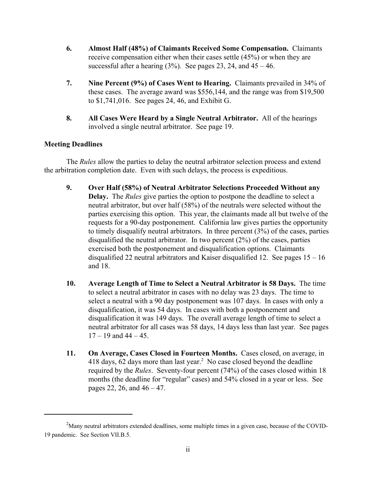- **6. Almost Half (48%) of Claimants Received Some Compensation.** Claimants receive compensation either when their cases settle (45%) or when they are successful after a hearing  $(3\%)$ . See pages 23, 24, and  $45 - 46$ .
- **7. Nine Percent (9%) of Cases Went to Hearing.** Claimants prevailed in 34% of these cases. The average award was \$556,144, and the range was from \$19,500 to \$1,741,016. See pages 24, 46, and Exhibit G.
- **8. All Cases Were Heard by a Single Neutral Arbitrator.** All of the hearings involved a single neutral arbitrator. See page 19.

# **Meeting Deadlines**

The *Rules* allow the parties to delay the neutral arbitrator selection process and extend the arbitration completion date. Even with such delays, the process is expeditious.

- **9. Over Half (58%) of Neutral Arbitrator Selections Proceeded Without any Delay.** The *Rules* give parties the option to postpone the deadline to select a neutral arbitrator, but over half (58%) of the neutrals were selected without the parties exercising this option. This year, the claimants made all but twelve of the requests for a 90-day postponement. California law gives parties the opportunity to timely disqualify neutral arbitrators. In three percent (3%) of the cases, parties disqualified the neutral arbitrator. In two percent (2%) of the cases, parties exercised both the postponement and disqualification options. Claimants disqualified 22 neutral arbitrators and Kaiser disqualified 12. See pages  $15 - 16$ and 18.
- **10. Average Length of Time to Select a Neutral Arbitrator is 58 Days.** The time to select a neutral arbitrator in cases with no delay was 23 days. The time to select a neutral with a 90 day postponement was 107 days. In cases with only a disqualification, it was 54 days. In cases with both a postponement and disqualification it was 149 days. The overall average length of time to select a neutral arbitrator for all cases was 58 days, 14 days less than last year. See pages  $17 - 19$  and  $44 - 45$ .
- **11. On Average, Cases Closed in Fourteen Months.** Cases closed, on average, in 418 days, 62 days more than last year.<sup>2</sup> No case closed beyond the deadline required by the *Rules*. Seventy-four percent (74%) of the cases closed within 18 months (the deadline for "regular" cases) and 54% closed in a year or less. See pages 22, 26, and 46 – 47.

 $2^2$ Many neutral arbitrators extended deadlines, some multiple times in a given case, because of the COVID-19 pandemic. See Section VII.B.5.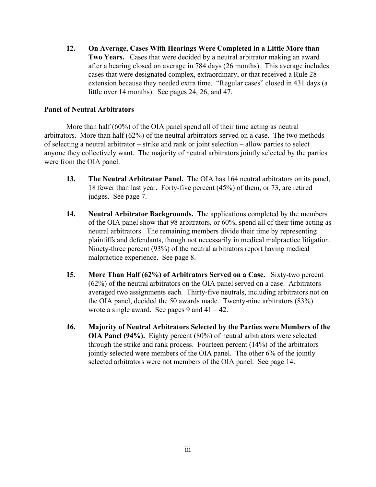**12. On Average, Cases With Hearings Were Completed in a Little More than Two Years.** Cases that were decided by a neutral arbitrator making an award after a hearing closed on average in 784 days (26 months). This average includes cases that were designated complex, extraordinary, or that received a Rule 28 extension because they needed extra time. "Regular cases" closed in 431 days (a little over 14 months). See pages 24, 26, and 47.

# **Panel of Neutral Arbitrators**

More than half (60%) of the OIA panel spend all of their time acting as neutral arbitrators. More than half (62%) of the neutral arbitrators served on a case. The two methods of selecting a neutral arbitrator – strike and rank or joint selection – allow parties to select anyone they collectively want. The majority of neutral arbitrators jointly selected by the parties were from the OIA panel.

- **13. The Neutral Arbitrator Panel.** The OIA has 164 neutral arbitrators on its panel, 18 fewer than last year. Forty-five percent (45%) of them, or 73, are retired judges. See page 7.
- **14. Neutral Arbitrator Backgrounds.** The applications completed by the members of the OIA panel show that 98 arbitrators, or 60%, spend all of their time acting as neutral arbitrators. The remaining members divide their time by representing plaintiffs and defendants, though not necessarily in medical malpractice litigation. Ninety-three percent (93%) of the neutral arbitrators report having medical malpractice experience. See page 8.
- **15. More Than Half (62%) of Arbitrators Served on a Case.** Sixty-two percent (62%) of the neutral arbitrators on the OIA panel served on a case. Arbitrators averaged two assignments each. Thirty-five neutrals, including arbitrators not on the OIA panel, decided the 50 awards made. Twenty-nine arbitrators (83%) wrote a single award. See pages 9 and  $41 - 42$ .
- **16. Majority of Neutral Arbitrators Selected by the Parties were Members of the OIA Panel (94%).** Eighty percent (80%) of neutral arbitrators were selected through the strike and rank process. Fourteen percent (14%) of the arbitrators jointly selected were members of the OIA panel. The other 6% of the jointly selected arbitrators were not members of the OIA panel. See page 14.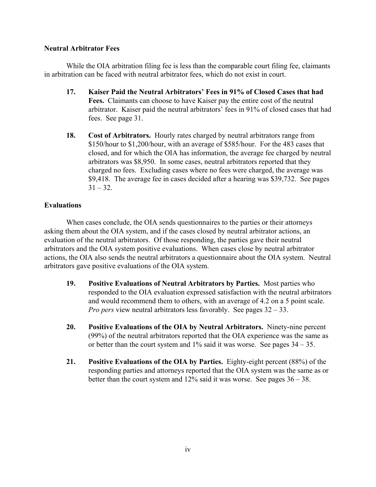# **Neutral Arbitrator Fees**

While the OIA arbitration filing fee is less than the comparable court filing fee, claimants in arbitration can be faced with neutral arbitrator fees, which do not exist in court.

- **17. Kaiser Paid the Neutral Arbitrators' Fees in 91% of Closed Cases that had Fees.** Claimants can choose to have Kaiser pay the entire cost of the neutral arbitrator. Kaiser paid the neutral arbitrators' fees in 91% of closed cases that had fees. See page 31.
- **18. Cost of Arbitrators.** Hourly rates charged by neutral arbitrators range from \$150/hour to \$1,200/hour, with an average of \$585/hour. For the 483 cases that closed, and for which the OIA has information, the average fee charged by neutral arbitrators was \$8,950. In some cases, neutral arbitrators reported that they charged no fees. Excluding cases where no fees were charged, the average was \$9,418. The average fee in cases decided after a hearing was \$39,732. See pages  $31 - 32.$

# **Evaluations**

When cases conclude, the OIA sends questionnaires to the parties or their attorneys asking them about the OIA system, and if the cases closed by neutral arbitrator actions, an evaluation of the neutral arbitrators. Of those responding, the parties gave their neutral arbitrators and the OIA system positive evaluations. When cases close by neutral arbitrator actions, the OIA also sends the neutral arbitrators a questionnaire about the OIA system. Neutral arbitrators gave positive evaluations of the OIA system.

- **19. Positive Evaluations of Neutral Arbitrators by Parties.** Most parties who responded to the OIA evaluation expressed satisfaction with the neutral arbitrators and would recommend them to others, with an average of 4.2 on a 5 point scale. *Pro pers* view neutral arbitrators less favorably. See pages 32 – 33.
- **20. Positive Evaluations of the OIA by Neutral Arbitrators.** Ninety-nine percent (99%) of the neutral arbitrators reported that the OIA experience was the same as or better than the court system and 1% said it was worse. See pages 34 – 35.
- **21. Positive Evaluations of the OIA by Parties.** Eighty-eight percent (88%) of the responding parties and attorneys reported that the OIA system was the same as or better than the court system and  $12\%$  said it was worse. See pages  $36 - 38$ .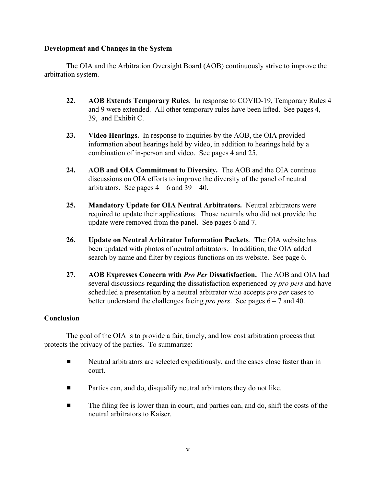# **Development and Changes in the System**

The OIA and the Arbitration Oversight Board (AOB) continuously strive to improve the arbitration system.

- **22. AOB Extends Temporary Rules**. In response to COVID-19, Temporary Rules 4 and 9 were extended. All other temporary rules have been lifted. See pages 4, 39, and Exhibit C.
- **23. Video Hearings.** In response to inquiries by the AOB, the OIA provided information about hearings held by video, in addition to hearings held by a combination of in-person and video. See pages 4 and 25.
- **24. AOB and OIA Commitment to Diversity.** The AOB and the OIA continue discussions on OIA efforts to improve the diversity of the panel of neutral arbitrators. See pages  $4 - 6$  and  $39 - 40$ .
- **25. Mandatory Update for OIA Neutral Arbitrators.** Neutral arbitrators were required to update their applications. Those neutrals who did not provide the update were removed from the panel. See pages 6 and 7.
- **26. Update on Neutral Arbitrator Information Packets**. The OIA website has been updated with photos of neutral arbitrators. In addition, the OIA added search by name and filter by regions functions on its website. See page 6.
- **27. AOB Expresses Concern with** *Pro Per* **Dissatisfaction.** The AOB and OIA had several discussions regarding the dissatisfaction experienced by *pro pers* and have scheduled a presentation by a neutral arbitrator who accepts *pro per* cases to better understand the challenges facing *pro pers*. See pages 6 – 7 and 40.

# **Conclusion**

The goal of the OIA is to provide a fair, timely, and low cost arbitration process that protects the privacy of the parties. To summarize:

- **EXECUTE:** Neutral arbitrators are selected expeditiously, and the cases close faster than in court.
- **EXECUTE:** Parties can, and do, disqualify neutral arbitrators they do not like.
- $\blacksquare$  The filing fee is lower than in court, and parties can, and do, shift the costs of the neutral arbitrators to Kaiser.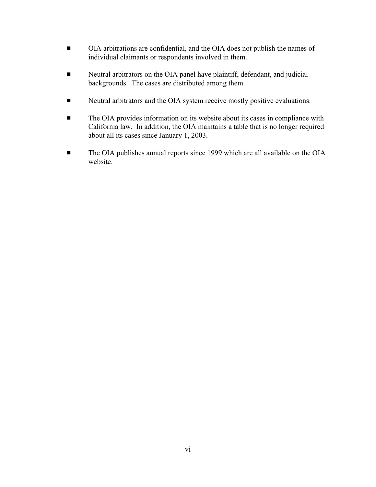- OIA arbitrations are confidential, and the OIA does not publish the names of individual claimants or respondents involved in them.
- **EXECUTE:** Neutral arbitrators on the OIA panel have plaintiff, defendant, and judicial backgrounds. The cases are distributed among them.
- **EXECUTE:** Neutral arbitrators and the OIA system receive mostly positive evaluations.
- **The OIA provides information on its website about its cases in compliance with** California law. In addition, the OIA maintains a table that is no longer required about all its cases since January 1, 2003.
- **The OIA publishes annual reports since 1999 which are all available on the OIA** website.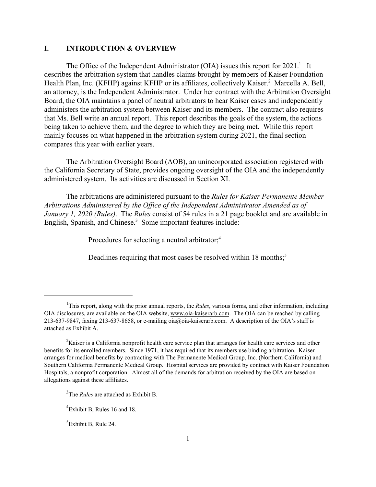## **I. INTRODUCTION & OVERVIEW**

The Office of the Independent Administrator (OIA) issues this report for  $2021<sup>1</sup>$  It describes the arbitration system that handles claims brought by members of Kaiser Foundation Health Plan, Inc. (KFHP) against KFHP or its affiliates, collectively Kaiser.<sup>2</sup> Marcella A. Bell, an attorney, is the Independent Administrator. Under her contract with the Arbitration Oversight Board, the OIA maintains a panel of neutral arbitrators to hear Kaiser cases and independently administers the arbitration system between Kaiser and its members. The contract also requires that Ms. Bell write an annual report. This report describes the goals of the system, the actions being taken to achieve them, and the degree to which they are being met. While this report mainly focuses on what happened in the arbitration system during 2021, the final section compares this year with earlier years.

The Arbitration Oversight Board (AOB), an unincorporated association registered with the California Secretary of State, provides ongoing oversight of the OIA and the independently administered system. Its activities are discussed in Section XI.

The arbitrations are administered pursuant to the *Rules for Kaiser Permanente Member Arbitrations Administered by the Office of the Independent Administrator Amended as of January 1, 2020 (Rules)*. The *Rules* consist of 54 rules in a 21 page booklet and are available in English, Spanish, and Chinese.<sup>3</sup> Some important features include:

Procedures for selecting a neutral arbitrator;<sup>4</sup>

Deadlines requiring that most cases be resolved within 18 months;<sup>5</sup>

<sup>5</sup>Exhibit B, Rule 24.

<sup>&</sup>lt;sup>1</sup>This report, along with the prior annual reports, the *Rules*, various forms, and other information, including OIA disclosures, are available on the OIA website, www.oia-kaiserarb.com. The OIA can be reached by calling 213-637-9847, faxing 213-637-8658, or e-mailing oia@oia-kaiserarb.com. A description of the OIA's staff is attached as Exhibit A.

 ${}^{2}$ Kaiser is a California nonprofit health care service plan that arranges for health care services and other benefits for its enrolled members. Since 1971, it has required that its members use binding arbitration. Kaiser arranges for medical benefits by contracting with The Permanente Medical Group, Inc. (Northern California) and Southern California Permanente Medical Group. Hospital services are provided by contract with Kaiser Foundation Hospitals, a nonprofit corporation. Almost all of the demands for arbitration received by the OIA are based on allegations against these affiliates.

<sup>3</sup> The *Rules* are attached as Exhibit B.

<sup>&</sup>lt;sup>4</sup>Exhibit B, Rules 16 and 18.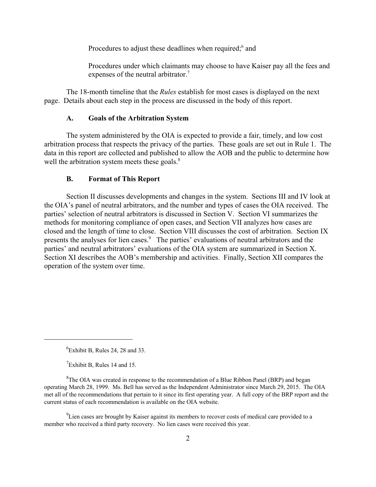Procedures to adjust these deadlines when required;<sup>6</sup> and

Procedures under which claimants may choose to have Kaiser pay all the fees and expenses of the neutral arbitrator.<sup>7</sup>

The 18-month timeline that the *Rules* establish for most cases is displayed on the next page. Details about each step in the process are discussed in the body of this report.

#### **A. Goals of the Arbitration System**

The system administered by the OIA is expected to provide a fair, timely, and low cost arbitration process that respects the privacy of the parties. These goals are set out in Rule 1. The data in this report are collected and published to allow the AOB and the public to determine how well the arbitration system meets these goals. $8$ 

#### **B. Format of This Report**

Section II discusses developments and changes in the system. Sections III and IV look at the OIA's panel of neutral arbitrators, and the number and types of cases the OIA received. The parties' selection of neutral arbitrators is discussed in Section V. Section VI summarizes the methods for monitoring compliance of open cases, and Section VII analyzes how cases are closed and the length of time to close. Section VIII discusses the cost of arbitration. Section IX presents the analyses for lien cases.<sup>9</sup> The parties' evaluations of neutral arbitrators and the parties' and neutral arbitrators' evaluations of the OIA system are summarized in Section X. Section XI describes the AOB's membership and activities. Finally, Section XII compares the operation of the system over time.

 $^{9}$ Lien cases are brought by Kaiser against its members to recover costs of medical care provided to a member who received a third party recovery. No lien cases were received this year.

<sup>6</sup> Exhibit B, Rules 24, 28 and 33.

 $7$ Exhibit B, Rules 14 and 15.

 ${}^{8}$ The OIA was created in response to the recommendation of a Blue Ribbon Panel (BRP) and began operating March 28, 1999. Ms. Bell has served as the Independent Administrator since March 29, 2015. The OIA met all of the recommendations that pertain to it since its first operating year. A full copy of the BRP report and the current status of each recommendation is available on the OIA website.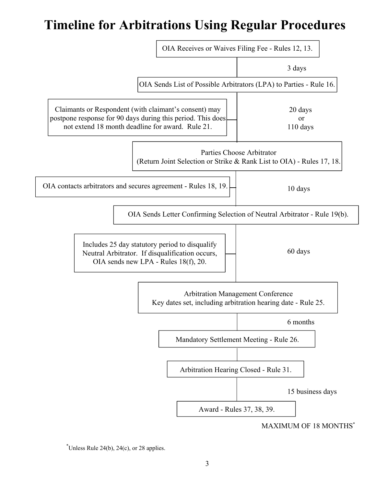# **Timeline for Arbitrations Using Regular Procedures**



 $\overline{C}$ Unless Rule 24(b), 24(c), or 28 applies.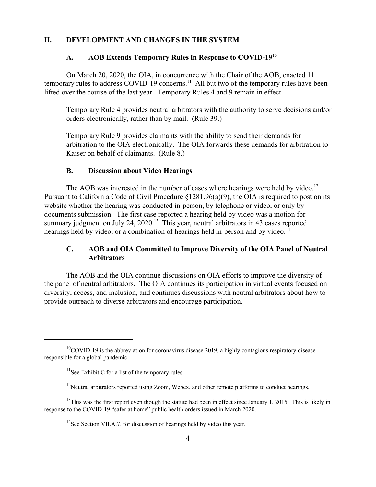#### **II. DEVELOPMENT AND CHANGES IN THE SYSTEM**

### **A. AOB Extends Temporary Rules in Response to COVID-19**<sup>10</sup>

On March 20, 2020, the OIA, in concurrence with the Chair of the AOB, enacted 11 temporary rules to address COVID-19 concerns.<sup>11</sup> All but two of the temporary rules have been lifted over the course of the last year. Temporary Rules 4 and 9 remain in effect.

Temporary Rule 4 provides neutral arbitrators with the authority to serve decisions and/or orders electronically, rather than by mail. (Rule 39.)

Temporary Rule 9 provides claimants with the ability to send their demands for arbitration to the OIA electronically. The OIA forwards these demands for arbitration to Kaiser on behalf of claimants. (Rule 8.)

#### **B. Discussion about Video Hearings**

The AOB was interested in the number of cases where hearings were held by video.<sup>12</sup> Pursuant to California Code of Civil Procedure §1281.96(a)(9), the OIA is required to post on its website whether the hearing was conducted in-person, by telephone or video, or only by documents submission. The first case reported a hearing held by video was a motion for summary judgment on July 24, 2020.<sup>13</sup> This year, neutral arbitrators in 43 cases reported hearings held by video, or a combination of hearings held in-person and by video.<sup>14</sup>

# **C. AOB and OIA Committed to Improve Diversity of the OIA Panel of Neutral Arbitrators**

The AOB and the OIA continue discussions on OIA efforts to improve the diversity of the panel of neutral arbitrators. The OIA continues its participation in virtual events focused on diversity, access, and inclusion, and continues discussions with neutral arbitrators about how to provide outreach to diverse arbitrators and encourage participation.

 $10^{\circ}$ COVID-19 is the abbreviation for coronavirus disease 2019, a highly contagious respiratory disease responsible for a global pandemic.

 $11$ See Exhibit C for a list of the temporary rules.

 $12$ Neutral arbitrators reported using Zoom, Webex, and other remote platforms to conduct hearings.

 $13$ This was the first report even though the statute had been in effect since January 1, 2015. This is likely in response to the COVID-19 "safer at home" public health orders issued in March 2020.

 $14$ See Section VII.A.7. for discussion of hearings held by video this year.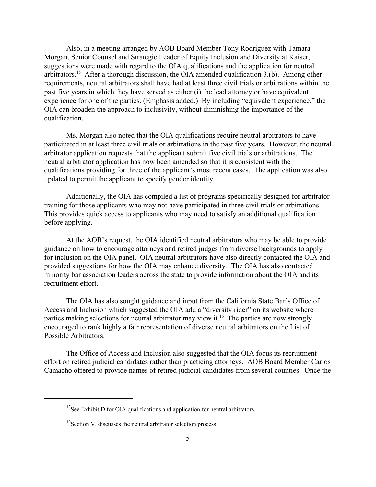Also, in a meeting arranged by AOB Board Member Tony Rodriguez with Tamara Morgan, Senior Counsel and Strategic Leader of Equity Inclusion and Diversity at Kaiser, suggestions were made with regard to the OIA qualifications and the application for neutral arbitrators.<sup>15</sup> After a thorough discussion, the OIA amended qualification 3.(b). Among other requirements, neutral arbitrators shall have had at least three civil trials or arbitrations within the past five years in which they have served as either (i) the lead attorney or have equivalent experience for one of the parties. (Emphasis added.) By including "equivalent experience," the OIA can broaden the approach to inclusivity, without diminishing the importance of the qualification.

Ms. Morgan also noted that the OIA qualifications require neutral arbitrators to have participated in at least three civil trials or arbitrations in the past five years. However, the neutral arbitrator application requests that the applicant submit five civil trials or arbitrations. The neutral arbitrator application has now been amended so that it is consistent with the qualifications providing for three of the applicant's most recent cases. The application was also updated to permit the applicant to specify gender identity.

Additionally, the OIA has compiled a list of programs specifically designed for arbitrator training for those applicants who may not have participated in three civil trials or arbitrations. This provides quick access to applicants who may need to satisfy an additional qualification before applying.

At the AOB's request, the OIA identified neutral arbitrators who may be able to provide guidance on how to encourage attorneys and retired judges from diverse backgrounds to apply for inclusion on the OIA panel. OIA neutral arbitrators have also directly contacted the OIA and provided suggestions for how the OIA may enhance diversity. The OIA has also contacted minority bar association leaders across the state to provide information about the OIA and its recruitment effort.

The OIA has also sought guidance and input from the California State Bar's Office of Access and Inclusion which suggested the OIA add a "diversity rider" on its website where parties making selections for neutral arbitrator may view it.<sup>16</sup> The parties are now strongly encouraged to rank highly a fair representation of diverse neutral arbitrators on the List of Possible Arbitrators.

The Office of Access and Inclusion also suggested that the OIA focus its recruitment effort on retired judicial candidates rather than practicing attorneys. AOB Board Member Carlos Camacho offered to provide names of retired judicial candidates from several counties. Once the

<sup>&</sup>lt;sup>15</sup>See Exhibit D for OIA qualifications and application for neutral arbitrators.

<sup>&</sup>lt;sup>16</sup>Section V. discusses the neutral arbitrator selection process.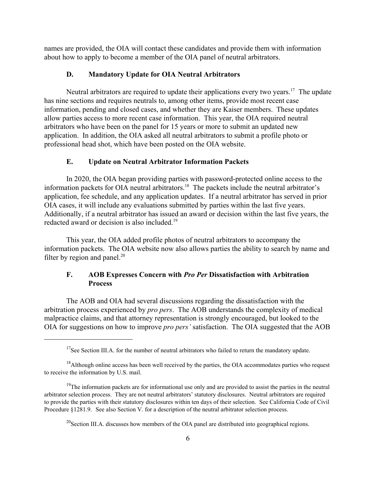names are provided, the OIA will contact these candidates and provide them with information about how to apply to become a member of the OIA panel of neutral arbitrators.

#### **D. Mandatory Update for OIA Neutral Arbitrators**

Neutral arbitrators are required to update their applications every two years.<sup>17</sup> The update has nine sections and requires neutrals to, among other items, provide most recent case information, pending and closed cases, and whether they are Kaiser members. These updates allow parties access to more recent case information. This year, the OIA required neutral arbitrators who have been on the panel for 15 years or more to submit an updated new application. In addition, the OIA asked all neutral arbitrators to submit a profile photo or professional head shot, which have been posted on the OIA website.

#### **E. Update on Neutral Arbitrator Information Packets**

In 2020, the OIA began providing parties with password-protected online access to the information packets for OIA neutral arbitrators.18 The packets include the neutral arbitrator's application, fee schedule, and any application updates. If a neutral arbitrator has served in prior OIA cases, it will include any evaluations submitted by parties within the last five years. Additionally, if a neutral arbitrator has issued an award or decision within the last five years, the redacted award or decision is also included.19

This year, the OIA added profile photos of neutral arbitrators to accompany the information packets. The OIA website now also allows parties the ability to search by name and filter by region and panel. $^{20}$ 

# **F. AOB Expresses Concern with** *Pro Per* **Dissatisfaction with Arbitration Process**

The AOB and OIA had several discussions regarding the dissatisfaction with the arbitration process experienced by *pro pers*. The AOB understands the complexity of medical malpractice claims, and that attorney representation is strongly encouraged, but looked to the OIA for suggestions on how to improve *pro pers'* satisfaction. The OIA suggested that the AOB

 $17$ See Section III.A. for the number of neutral arbitrators who failed to return the mandatory update.

<sup>&</sup>lt;sup>18</sup>Although online access has been well received by the parties, the OIA accommodates parties who request to receive the information by U.S. mail.

<sup>&</sup>lt;sup>19</sup>The information packets are for informational use only and are provided to assist the parties in the neutral arbitrator selection process. They are not neutral arbitrators' statutory disclosures. Neutral arbitrators are required to provide the parties with their statutory disclosures within ten days of their selection. See California Code of Civil Procedure §1281.9. See also Section V. for a description of the neutral arbitrator selection process.

 $^{20}$ Section III.A. discusses how members of the OIA panel are distributed into geographical regions.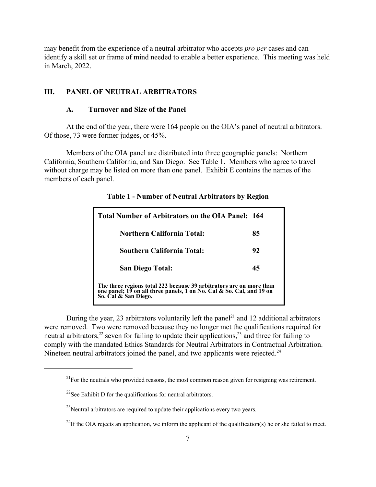may benefit from the experience of a neutral arbitrator who accepts *pro per* cases and can identify a skill set or frame of mind needed to enable a better experience. This meeting was held in March, 2022.

# **III. PANEL OF NEUTRAL ARBITRATORS**

#### **A. Turnover and Size of the Panel**

At the end of the year, there were 164 people on the OIA's panel of neutral arbitrators. Of those, 73 were former judges, or 45%.

Members of the OIA panel are distributed into three geographic panels: Northern California, Southern California, and San Diego. See Table 1. Members who agree to travel without charge may be listed on more than one panel. Exhibit E contains the names of the members of each panel.

| Total Number of Arbitrators on the OIA Panel: 164                                                                                                                   |    |  |  |  |
|---------------------------------------------------------------------------------------------------------------------------------------------------------------------|----|--|--|--|
| <b>Northern California Total:</b>                                                                                                                                   | 85 |  |  |  |
| <b>Southern California Total:</b>                                                                                                                                   | 92 |  |  |  |
| <b>San Diego Total:</b>                                                                                                                                             | 45 |  |  |  |
| The three regions total 222 because 39 arbitrators are on more than<br>one panel; 19 on all three panels, 1 on No. Cal & So. Cal, and 19 on<br>So. Cal & San Diego. |    |  |  |  |

**Table 1 - Number of Neutral Arbitrators by Region**

During the year, 23 arbitrators voluntarily left the panel<sup>21</sup> and 12 additional arbitrators were removed. Two were removed because they no longer met the qualifications required for neutral arbitrators,<sup>22</sup> seven for failing to update their applications,<sup>23</sup> and three for failing to comply with the mandated Ethics Standards for Neutral Arbitrators in Contractual Arbitration. Nineteen neutral arbitrators joined the panel, and two applicants were rejected. $24$ 

 $21$  For the neutrals who provided reasons, the most common reason given for resigning was retirement.

 $^{22}$ See Exhibit D for the qualifications for neutral arbitrators.

 $^{23}$ Neutral arbitrators are required to update their applications every two years.

<sup>&</sup>lt;sup>24</sup>If the OIA rejects an application, we inform the applicant of the qualification(s) he or she failed to meet.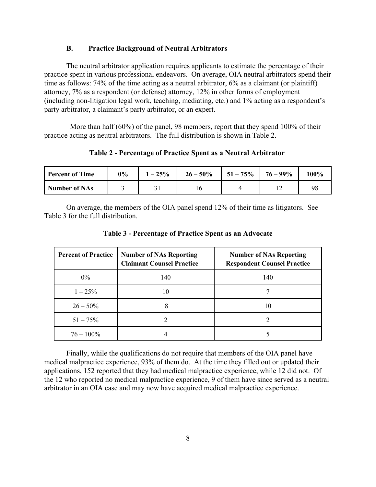#### **B. Practice Background of Neutral Arbitrators**

The neutral arbitrator application requires applicants to estimate the percentage of their practice spent in various professional endeavors. On average, OIA neutral arbitrators spend their time as follows: 74% of the time acting as a neutral arbitrator, 6% as a claimant (or plaintiff) attorney, 7% as a respondent (or defense) attorney, 12% in other forms of employment (including non-litigation legal work, teaching, mediating, etc.) and 1% acting as a respondent's party arbitrator, a claimant's party arbitrator, or an expert.

More than half (60%) of the panel, 98 members, report that they spend 100% of their practice acting as neutral arbitrators. The full distribution is shown in Table 2.

**Table 2 - Percentage of Practice Spent as a Neutral Arbitrator** 

| <b>Percent of Time</b> | 0% | $1 - 25%$ | $26 - 50\%$ | $1\,51-75\%$ | $76 - 99\%$ | 100% |
|------------------------|----|-----------|-------------|--------------|-------------|------|
| <b>Number of NAs</b>   |    |           | 10          |              |             | 98   |

On average, the members of the OIA panel spend 12% of their time as litigators. See Table 3 for the full distribution.

| <b>Percent of Practice</b> | <b>Number of NAs Reporting</b><br><b>Claimant Counsel Practice</b> | <b>Number of NAs Reporting</b><br><b>Respondent Counsel Practice</b> |
|----------------------------|--------------------------------------------------------------------|----------------------------------------------------------------------|
| $0\%$                      | 140                                                                | 140                                                                  |
| $1 - 25\%$                 |                                                                    |                                                                      |
| $26 - 50\%$                | 8                                                                  | 10                                                                   |
| $51 - 75\%$                |                                                                    |                                                                      |
| $76 - 100\%$               |                                                                    |                                                                      |

**Table 3 - Percentage of Practice Spent as an Advocate**

Finally, while the qualifications do not require that members of the OIA panel have medical malpractice experience, 93% of them do. At the time they filled out or updated their applications, 152 reported that they had medical malpractice experience, while 12 did not. Of the 12 who reported no medical malpractice experience, 9 of them have since served as a neutral arbitrator in an OIA case and may now have acquired medical malpractice experience.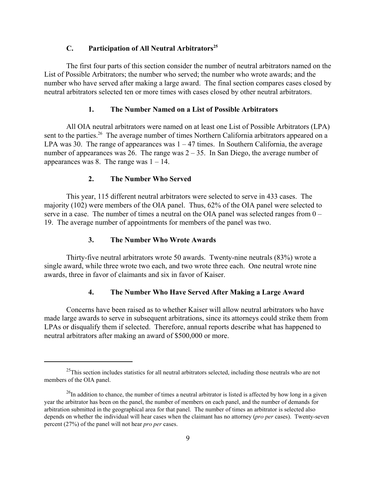# **C.** Participation of All Neutral Arbitrators<sup>25</sup>

The first four parts of this section consider the number of neutral arbitrators named on the List of Possible Arbitrators; the number who served; the number who wrote awards; and the number who have served after making a large award. The final section compares cases closed by neutral arbitrators selected ten or more times with cases closed by other neutral arbitrators.

#### **1. The Number Named on a List of Possible Arbitrators**

All OIA neutral arbitrators were named on at least one List of Possible Arbitrators (LPA) sent to the parties.<sup>26</sup> The average number of times Northern California arbitrators appeared on a LPA was 30. The range of appearances was  $1 - 47$  times. In Southern California, the average number of appearances was 26. The range was  $2 - 35$ . In San Diego, the average number of appearances was 8. The range was  $1 - 14$ .

#### **2. The Number Who Served**

This year, 115 different neutral arbitrators were selected to serve in 433 cases. The majority (102) were members of the OIA panel. Thus, 62% of the OIA panel were selected to serve in a case. The number of times a neutral on the OIA panel was selected ranges from 0 – 19. The average number of appointments for members of the panel was two.

# **3. The Number Who Wrote Awards**

Thirty-five neutral arbitrators wrote 50 awards. Twenty-nine neutrals (83%) wrote a single award, while three wrote two each, and two wrote three each. One neutral wrote nine awards, three in favor of claimants and six in favor of Kaiser.

#### **4. The Number Who Have Served After Making a Large Award**

Concerns have been raised as to whether Kaiser will allow neutral arbitrators who have made large awards to serve in subsequent arbitrations, since its attorneys could strike them from LPAs or disqualify them if selected. Therefore, annual reports describe what has happened to neutral arbitrators after making an award of \$500,000 or more.

<sup>&</sup>lt;sup>25</sup>This section includes statistics for all neutral arbitrators selected, including those neutrals who are not members of the OIA panel.

 $^{26}$ In addition to chance, the number of times a neutral arbitrator is listed is affected by how long in a given year the arbitrator has been on the panel, the number of members on each panel, and the number of demands for arbitration submitted in the geographical area for that panel. The number of times an arbitrator is selected also depends on whether the individual will hear cases when the claimant has no attorney (*pro per* cases). Twenty-seven percent (27%) of the panel will not hear *pro per* cases.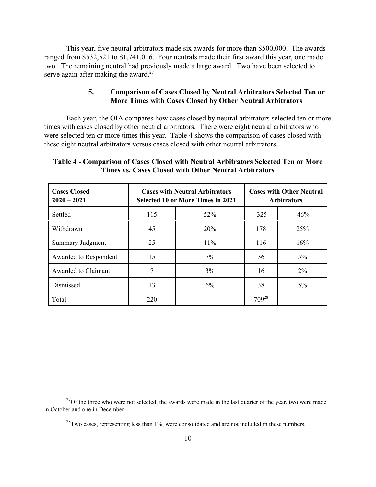This year, five neutral arbitrators made six awards for more than \$500,000. The awards ranged from \$532,521 to \$1,741,016. Four neutrals made their first award this year, one made two. The remaining neutral had previously made a large award. Two have been selected to serve again after making the award. $27$ 

# **5. Comparison of Cases Closed by Neutral Arbitrators Selected Ten or More Times with Cases Closed by Other Neutral Arbitrators**

Each year, the OIA compares how cases closed by neutral arbitrators selected ten or more times with cases closed by other neutral arbitrators. There were eight neutral arbitrators who were selected ten or more times this year. Table 4 shows the comparison of cases closed with these eight neutral arbitrators versus cases closed with other neutral arbitrators.

# **Table 4 - Comparison of Cases Closed with Neutral Arbitrators Selected Ten or More Times vs. Cases Closed with Other Neutral Arbitrators**

| <b>Cases Closed</b><br>$2020 - 2021$ |     | <b>Cases with Neutral Arbitrators</b><br><b>Selected 10 or More Times in 2021</b> | <b>Cases with Other Neutral</b><br><b>Arbitrators</b> |       |  |
|--------------------------------------|-----|-----------------------------------------------------------------------------------|-------------------------------------------------------|-------|--|
| Settled                              | 115 | 52%                                                                               | 325                                                   | 46%   |  |
| Withdrawn                            | 45  | 20%                                                                               | 178                                                   | 25%   |  |
| Summary Judgment                     | 25  | 11%                                                                               | 116                                                   | 16%   |  |
| Awarded to Respondent                | 15  | 7%                                                                                | 36                                                    | $5\%$ |  |
| Awarded to Claimant                  | 7   | 3%                                                                                | 16                                                    | $2\%$ |  |
| Dismissed                            | 13  | 6%                                                                                | 38                                                    | $5\%$ |  |
| Total                                | 220 |                                                                                   | 70928                                                 |       |  |

 $27$ Of the three who were not selected, the awards were made in the last quarter of the year, two were made in October and one in December

 $^{28}$ Two cases, representing less than 1%, were consolidated and are not included in these numbers.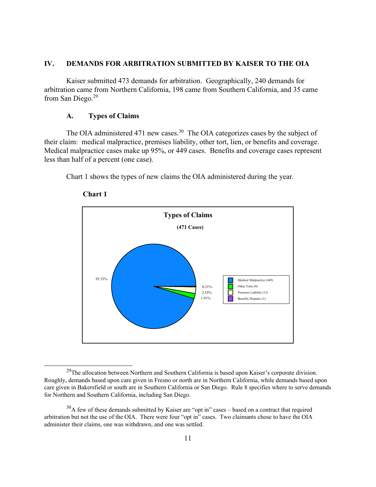#### **IV. DEMANDS FOR ARBITRATION SUBMITTED BY KAISER TO THE OIA**

 Kaiser submitted 473 demands for arbitration. Geographically, 240 demands for arbitration came from Northern California, 198 came from Southern California, and 35 came from San Diego.29

# **A. Types of Claims**

The OIA administered 471 new cases.<sup>30</sup> The OIA categorizes cases by the subject of their claim: medical malpractice, premises liability, other tort, lien, or benefits and coverage. Medical malpractice cases make up 95%, or 449 cases. Benefits and coverage cases represent less than half of a percent (one case).

Chart 1 shows the types of new claims the OIA administered during the year.



#### **Chart 1**

<sup>&</sup>lt;sup>29</sup>The allocation between Northern and Southern California is based upon Kaiser's corporate division. Roughly, demands based upon care given in Fresno or north are in Northern California, while demands based upon care given in Bakersfield or south are in Southern California or San Diego. Rule 8 specifies where to serve demands for Northern and Southern California, including San Diego.

 $30A$  few of these demands submitted by Kaiser are "opt in" cases – based on a contract that required arbitration but not the use of the OIA. There were four "opt in" cases. Two claimants chose to have the OIA administer their claims, one was withdrawn, and one was settled.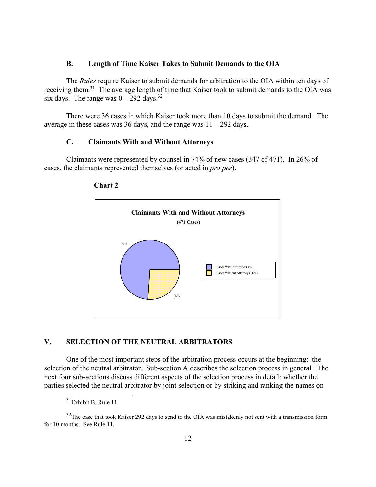#### **B. Length of Time Kaiser Takes to Submit Demands to the OIA**

 The *Rules* require Kaiser to submit demands for arbitration to the OIA within ten days of receiving them.31 The average length of time that Kaiser took to submit demands to the OIA was six days. The range was  $0 - 292$  days.<sup>32</sup>

 There were 36 cases in which Kaiser took more than 10 days to submit the demand. The average in these cases was 36 days, and the range was  $11 - 292$  days.

# **C. Claimants With and Without Attorneys**

 Claimants were represented by counsel in 74% of new cases (347 of 471). In 26% of cases, the claimants represented themselves (or acted in *pro per*).





# **V. SELECTION OF THE NEUTRAL ARBITRATORS**

 One of the most important steps of the arbitration process occurs at the beginning: the selection of the neutral arbitrator. Sub-section A describes the selection process in general. The next four sub-sections discuss different aspects of the selection process in detail: whether the parties selected the neutral arbitrator by joint selection or by striking and ranking the names on

 $31$ Exhibit B, Rule 11.

<sup>&</sup>lt;sup>32</sup>The case that took Kaiser 292 days to send to the OIA was mistakenly not sent with a transmission form for 10 months. See Rule 11.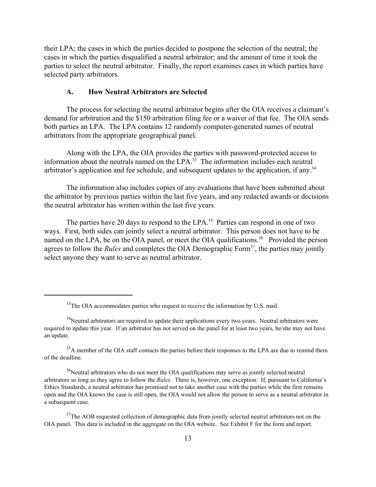their LPA; the cases in which the parties decided to postpone the selection of the neutral; the cases in which the parties disqualified a neutral arbitrator; and the amount of time it took the parties to select the neutral arbitrator. Finally, the report examines cases in which parties have selected party arbitrators.

#### **A. How Neutral Arbitrators are Selected**

The process for selecting the neutral arbitrator begins after the OIA receives a claimant's demand for arbitration and the \$150 arbitration filing fee or a waiver of that fee. The OIA sends both parties an LPA. The LPA contains 12 randomly computer-generated names of neutral arbitrators from the appropriate geographical panel.

Along with the LPA, the OIA provides the parties with password-protected access to information about the neutrals named on the LPA.<sup>33</sup> The information includes each neutral arbitrator's application and fee schedule, and subsequent updates to the application, if any.<sup>34</sup>

The information also includes copies of any evaluations that have been submitted about the arbitrator by previous parties within the last five years, and any redacted awards or decisions the neutral arbitrator has written within the last five years.

The parties have 20 days to respond to the LPA.<sup>35</sup> Parties can respond in one of two ways. First, both sides can jointly select a neutral arbitrator. This person does not have to be named on the LPA, be on the OIA panel, or meet the OIA qualifications.<sup>36</sup> Provided the person agrees to follow the *Rules* and completes the OIA Demographic Form<sup>37</sup>, the parties may jointly select anyone they want to serve as neutral arbitrator.

 $35A$  member of the OIA staff contacts the parties before their responses to the LPA are due to remind them of the deadline.

 $36$ Neutral arbitrators who do not meet the OIA qualifications may serve as jointly selected neutral arbitrators so long as they agree to follow the *Rules*. There is, however, one exception: If, pursuant to California's Ethics Standards, a neutral arbitrator has promised not to take another case with the parties while the first remains open and the OIA knows the case is still open, the OIA would not allow the person to serve as a neutral arbitrator in a subsequent case.

 $33$ The OIA accommodates parties who request to receive the information by U.S. mail.

 $34$ Neutral arbitrators are required to update their applications every two years. Neutral arbitrators were required to update this year. If an arbitrator has not served on the panel for at least two years, he/she may not have an update.

 $37$ The AOB requested collection of demographic data from jointly selected neutral arbitrators not on the OIA panel. This data is included in the aggregate on the OIA website. See Exhibit F for the form and report.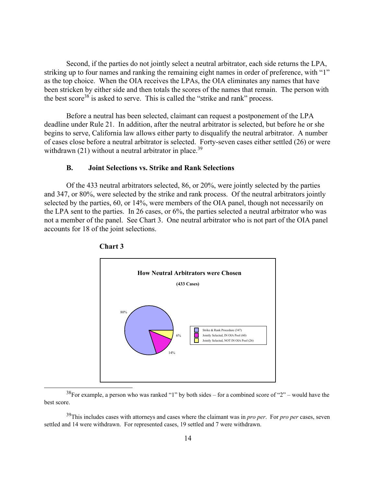Second, if the parties do not jointly select a neutral arbitrator, each side returns the LPA, striking up to four names and ranking the remaining eight names in order of preference, with "1" as the top choice. When the OIA receives the LPAs, the OIA eliminates any names that have been stricken by either side and then totals the scores of the names that remain. The person with the best score<sup>38</sup> is asked to serve. This is called the "strike and rank" process.

 Before a neutral has been selected, claimant can request a postponement of the LPA deadline under Rule 21. In addition, after the neutral arbitrator is selected, but before he or she begins to serve, California law allows either party to disqualify the neutral arbitrator. A number of cases close before a neutral arbitrator is selected. Forty-seven cases either settled (26) or were withdrawn  $(21)$  without a neutral arbitrator in place.<sup>39</sup>

#### **B. Joint Selections vs. Strike and Rank Selections**

 Of the 433 neutral arbitrators selected, 86, or 20%, were jointly selected by the parties and 347, or 80%, were selected by the strike and rank process. Of the neutral arbitrators jointly selected by the parties, 60, or 14%, were members of the OIA panel, though not necessarily on the LPA sent to the parties. In 26 cases, or 6%, the parties selected a neutral arbitrator who was not a member of the panel. See Chart 3. One neutral arbitrator who is not part of the OIA panel accounts for 18 of the joint selections.





 $38$ For example, a person who was ranked "1" by both sides – for a combined score of "2" – would have the best score.

39This includes cases with attorneys and cases where the claimant was in *pro per*. For *pro per* cases, seven settled and 14 were withdrawn. For represented cases, 19 settled and 7 were withdrawn.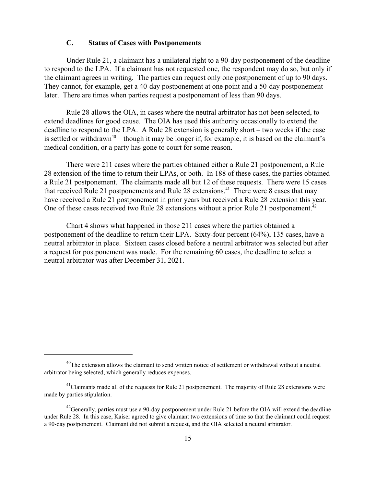#### **C. Status of Cases with Postponements**

Under Rule 21, a claimant has a unilateral right to a 90-day postponement of the deadline to respond to the LPA. If a claimant has not requested one, the respondent may do so, but only if the claimant agrees in writing. The parties can request only one postponement of up to 90 days. They cannot, for example, get a 40-day postponement at one point and a 50-day postponement later. There are times when parties request a postponement of less than 90 days.

Rule 28 allows the OIA, in cases where the neutral arbitrator has not been selected, to extend deadlines for good cause. The OIA has used this authority occasionally to extend the deadline to respond to the LPA. A Rule 28 extension is generally short – two weeks if the case is settled or withdrawn<sup>40</sup> – though it may be longer if, for example, it is based on the claimant's medical condition, or a party has gone to court for some reason.

There were 211 cases where the parties obtained either a Rule 21 postponement, a Rule 28 extension of the time to return their LPAs, or both. In 188 of these cases, the parties obtained a Rule 21 postponement. The claimants made all but 12 of these requests. There were 15 cases that received Rule 21 postponements and Rule 28 extensions.<sup>41</sup> There were 8 cases that may have received a Rule 21 postponement in prior years but received a Rule 28 extension this year. One of these cases received two Rule 28 extensions without a prior Rule 21 postponement.<sup>42</sup>

Chart 4 shows what happened in those 211 cases where the parties obtained a postponement of the deadline to return their LPA. Sixty-four percent (64%), 135 cases, have a neutral arbitrator in place. Sixteen cases closed before a neutral arbitrator was selected but after a request for postponement was made. For the remaining 60 cases, the deadline to select a neutral arbitrator was after December 31, 2021.

 $^{40}$ The extension allows the claimant to send written notice of settlement or withdrawal without a neutral arbitrator being selected, which generally reduces expenses.

 $<sup>41</sup>$ Claimants made all of the requests for Rule 21 postponement. The majority of Rule 28 extensions were</sup> made by parties stipulation.

 $^{42}$ Generally, parties must use a 90-day postponement under Rule 21 before the OIA will extend the deadline under Rule 28. In this case, Kaiser agreed to give claimant two extensions of time so that the claimant could request a 90-day postponement. Claimant did not submit a request, and the OIA selected a neutral arbitrator.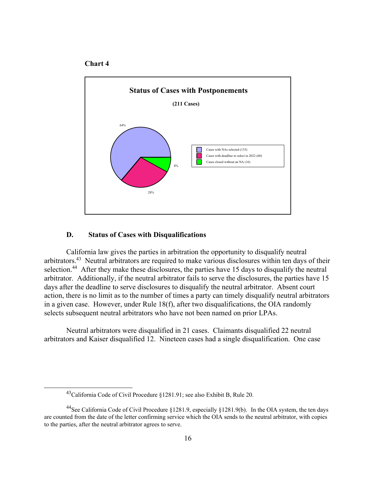



#### **D. Status of Cases with Disqualifications**

 California law gives the parties in arbitration the opportunity to disqualify neutral arbitrators.43 Neutral arbitrators are required to make various disclosures within ten days of their selection.<sup>44</sup> After they make these disclosures, the parties have 15 days to disqualify the neutral arbitrator. Additionally, if the neutral arbitrator fails to serve the disclosures, the parties have 15 days after the deadline to serve disclosures to disqualify the neutral arbitrator. Absent court action, there is no limit as to the number of times a party can timely disqualify neutral arbitrators in a given case. However, under Rule 18(f), after two disqualifications, the OIA randomly selects subsequent neutral arbitrators who have not been named on prior LPAs.

 Neutral arbitrators were disqualified in 21 cases. Claimants disqualified 22 neutral arbitrators and Kaiser disqualified 12. Nineteen cases had a single disqualification. One case

<sup>43</sup>California Code of Civil Procedure §1281.91; see also Exhibit B, Rule 20.

<sup>44</sup>See California Code of Civil Procedure §1281.9, especially §1281.9(b). In the OIA system, the ten days are counted from the date of the letter confirming service which the OIA sends to the neutral arbitrator, with copies to the parties, after the neutral arbitrator agrees to serve.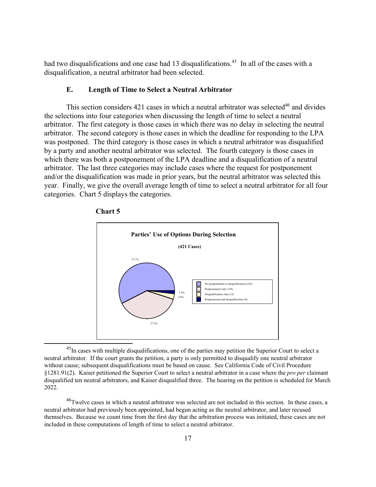had two disqualifications and one case had 13 disqualifications.<sup>45</sup> In all of the cases with a disqualification, a neutral arbitrator had been selected.

#### **E. Length of Time to Select a Neutral Arbitrator**

This section considers  $421$  cases in which a neutral arbitrator was selected<sup>46</sup> and divides the selections into four categories when discussing the length of time to select a neutral arbitrator. The first category is those cases in which there was no delay in selecting the neutral arbitrator. The second category is those cases in which the deadline for responding to the LPA was postponed. The third category is those cases in which a neutral arbitrator was disqualified by a party and another neutral arbitrator was selected. The fourth category is those cases in which there was both a postponement of the LPA deadline and a disqualification of a neutral arbitrator. The last three categories may include cases where the request for postponement and/or the disqualification was made in prior years, but the neutral arbitrator was selected this year. Finally, we give the overall average length of time to select a neutral arbitrator for all four categories. Chart 5 displays the categories.





<sup>&</sup>lt;sup>45</sup>In cases with multiple disqualifications, one of the parties may petition the Superior Court to select a neutral arbitrator. If the court grants the petition, a party is only permitted to disqualify one neutral arbitrator without cause; subsequent disqualifications must be based on cause. See California Code of Civil Procedure §1281.91(2). Kaiser petitioned the Superior Court to select a neutral arbitrator in a case where the *pro per* claimant disqualified ten neutral arbitrators, and Kaiser disqualified three. The hearing on the petition is scheduled for March 2022.

<sup>&</sup>lt;sup>46</sup>Twelve cases in which a neutral arbitrator was selected are not included in this section. In these cases, a neutral arbitrator had previously been appointed, had begun acting as the neutral arbitrator, and later recused themselves. Because we count time from the first day that the arbitration process was initiated, these cases are not included in these computations of length of time to select a neutral arbitrator.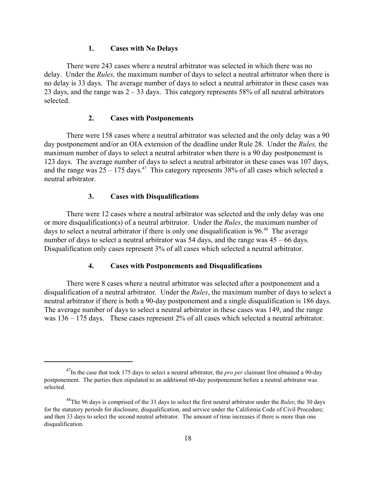#### **1. Cases with No Delays**

There were 243 cases where a neutral arbitrator was selected in which there was no delay. Under the *Rules,* the maximum number of days to select a neutral arbitrator when there is no delay is 33 days. The average number of days to select a neutral arbitrator in these cases was 23 days, and the range was  $2 - 33$  days. This category represents 58% of all neutral arbitrators selected.

#### **2. Cases with Postponements**

There were 158 cases where a neutral arbitrator was selected and the only delay was a 90 day postponement and/or an OIA extension of the deadline under Rule 28. Under the *Rules,* the maximum number of days to select a neutral arbitrator when there is a 90 day postponement is 123 days. The average number of days to select a neutral arbitrator in these cases was 107 days, and the range was  $25 - 175$  days.<sup>47</sup> This category represents 38% of all cases which selected a neutral arbitrator.

#### **3. Cases with Disqualifications**

There were 12 cases where a neutral arbitrator was selected and the only delay was one or more disqualification(s) of a neutral arbitrator. Under the *Rules*, the maximum number of days to select a neutral arbitrator if there is only one disqualification is  $96<sup>48</sup>$ . The average number of days to select a neutral arbitrator was 54 days, and the range was 45 – 66 days. Disqualification only cases represent 3% of all cases which selected a neutral arbitrator.

#### **4. Cases with Postponements and Disqualifications**

There were 8 cases where a neutral arbitrator was selected after a postponement and a disqualification of a neutral arbitrator. Under the *Rules*, the maximum number of days to select a neutral arbitrator if there is both a 90-day postponement and a single disqualification is 186 days. The average number of days to select a neutral arbitrator in these cases was 149, and the range was  $136 - 175$  days. These cases represent 2% of all cases which selected a neutral arbitrator.

<sup>&</sup>lt;sup>47</sup>In the case that took 175 days to select a neutral arbitrator, the *pro per* claimant first obtained a 90-day postponement. The parties then stipulated to an additional 60-day postponement before a neutral arbitrator was selected.

<sup>48</sup>The 96 days is comprised of the 33 days to select the first neutral arbitrator under the *Rules*; the 30 days for the statutory periods for disclosure, disqualification, and service under the California Code of Civil Procedure; and then 33 days to select the second neutral arbitrator. The amount of time increases if there is more than one disqualification.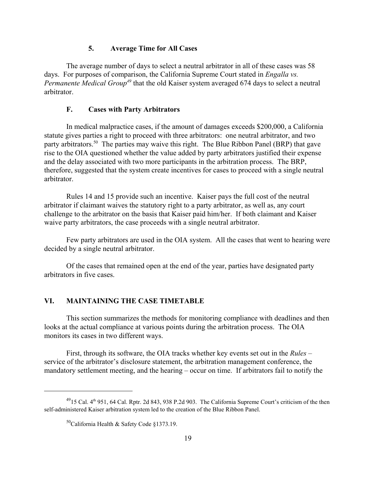#### **5. Average Time for All Cases**

The average number of days to select a neutral arbitrator in all of these cases was 58 days. For purposes of comparison, the California Supreme Court stated in *Engalla vs. Permanente Medical Group49* that the old Kaiser system averaged 674 days to select a neutral arbitrator.

#### **F. Cases with Party Arbitrators**

In medical malpractice cases, if the amount of damages exceeds \$200,000, a California statute gives parties a right to proceed with three arbitrators: one neutral arbitrator, and two party arbitrators.<sup>50</sup> The parties may waive this right. The Blue Ribbon Panel (BRP) that gave rise to the OIA questioned whether the value added by party arbitrators justified their expense and the delay associated with two more participants in the arbitration process. The BRP, therefore, suggested that the system create incentives for cases to proceed with a single neutral arbitrator.

Rules 14 and 15 provide such an incentive. Kaiser pays the full cost of the neutral arbitrator if claimant waives the statutory right to a party arbitrator, as well as, any court challenge to the arbitrator on the basis that Kaiser paid him/her. If both claimant and Kaiser waive party arbitrators, the case proceeds with a single neutral arbitrator.

Few party arbitrators are used in the OIA system. All the cases that went to hearing were decided by a single neutral arbitrator.

Of the cases that remained open at the end of the year, parties have designated party arbitrators in five cases.

# **VI. MAINTAINING THE CASE TIMETABLE**

This section summarizes the methods for monitoring compliance with deadlines and then looks at the actual compliance at various points during the arbitration process. The OIA monitors its cases in two different ways.

First, through its software, the OIA tracks whether key events set out in the *Rules* – service of the arbitrator's disclosure statement, the arbitration management conference, the mandatory settlement meeting, and the hearing – occur on time. If arbitrators fail to notify the

 $^{49}$ 15 Cal.  $4^{th}$  951, 64 Cal. Rptr. 2d 843, 938 P.2d 903. The California Supreme Court's criticism of the then self-administered Kaiser arbitration system led to the creation of the Blue Ribbon Panel.

 $50$ California Health & Safety Code §1373.19.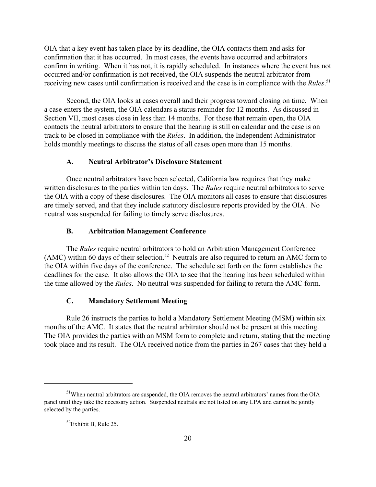OIA that a key event has taken place by its deadline, the OIA contacts them and asks for confirmation that it has occurred. In most cases, the events have occurred and arbitrators confirm in writing. When it has not, it is rapidly scheduled. In instances where the event has not occurred and/or confirmation is not received, the OIA suspends the neutral arbitrator from receiving new cases until confirmation is received and the case is in compliance with the *Rules*. 51

Second, the OIA looks at cases overall and their progress toward closing on time. When a case enters the system, the OIA calendars a status reminder for 12 months. As discussed in Section VII, most cases close in less than 14 months. For those that remain open, the OIA contacts the neutral arbitrators to ensure that the hearing is still on calendar and the case is on track to be closed in compliance with the *Rules*. In addition, the Independent Administrator holds monthly meetings to discuss the status of all cases open more than 15 months.

#### **A. Neutral Arbitrator's Disclosure Statement**

Once neutral arbitrators have been selected, California law requires that they make written disclosures to the parties within ten days. The *Rules* require neutral arbitrators to serve the OIA with a copy of these disclosures. The OIA monitors all cases to ensure that disclosures are timely served, and that they include statutory disclosure reports provided by the OIA. No neutral was suspended for failing to timely serve disclosures.

#### **B. Arbitration Management Conference**

The *Rules* require neutral arbitrators to hold an Arbitration Management Conference (AMC) within 60 days of their selection.<sup>52</sup> Neutrals are also required to return an AMC form to the OIA within five days of the conference. The schedule set forth on the form establishes the deadlines for the case. It also allows the OIA to see that the hearing has been scheduled within the time allowed by the *Rules*. No neutral was suspended for failing to return the AMC form.

# **C. Mandatory Settlement Meeting**

Rule 26 instructs the parties to hold a Mandatory Settlement Meeting (MSM) within six months of the AMC. It states that the neutral arbitrator should not be present at this meeting. The OIA provides the parties with an MSM form to complete and return, stating that the meeting took place and its result. The OIA received notice from the parties in 267 cases that they held a

<sup>&</sup>lt;sup>51</sup>When neutral arbitrators are suspended, the OIA removes the neutral arbitrators' names from the OIA panel until they take the necessary action. Suspended neutrals are not listed on any LPA and cannot be jointly selected by the parties.

 $52$ Exhibit B, Rule 25.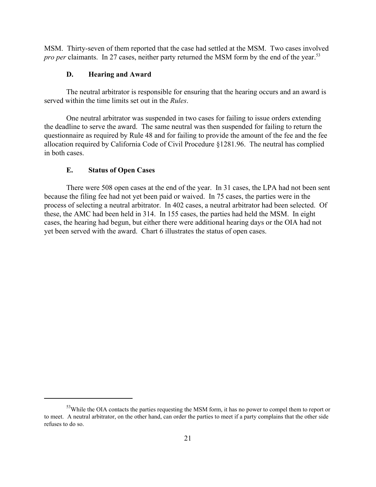MSM. Thirty-seven of them reported that the case had settled at the MSM. Two cases involved *pro per* claimants. In 27 cases, neither party returned the MSM form by the end of the year.<sup>53</sup>

# **D. Hearing and Award**

The neutral arbitrator is responsible for ensuring that the hearing occurs and an award is served within the time limits set out in the *Rules*.

One neutral arbitrator was suspended in two cases for failing to issue orders extending the deadline to serve the award. The same neutral was then suspended for failing to return the questionnaire as required by Rule 48 and for failing to provide the amount of the fee and the fee allocation required by California Code of Civil Procedure §1281.96. The neutral has complied in both cases.

# **E. Status of Open Cases**

There were 508 open cases at the end of the year. In 31 cases, the LPA had not been sent because the filing fee had not yet been paid or waived. In 75 cases, the parties were in the process of selecting a neutral arbitrator. In 402 cases, a neutral arbitrator had been selected. Of these, the AMC had been held in 314. In 155 cases, the parties had held the MSM. In eight cases, the hearing had begun, but either there were additional hearing days or the OIA had not yet been served with the award. Chart 6 illustrates the status of open cases.

<sup>&</sup>lt;sup>53</sup>While the OIA contacts the parties requesting the MSM form, it has no power to compel them to report or to meet. A neutral arbitrator, on the other hand, can order the parties to meet if a party complains that the other side refuses to do so.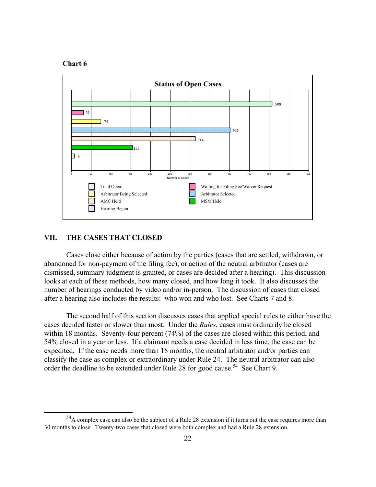



#### **VII. THE CASES THAT CLOSED**

 Cases close either because of action by the parties (cases that are settled, withdrawn, or abandoned for non-payment of the filing fee), or action of the neutral arbitrator (cases are dismissed, summary judgment is granted, or cases are decided after a hearing). This discussion looks at each of these methods, how many closed, and how long it took. It also discusses the number of hearings conducted by video and/or in-person. The discussion of cases that closed after a hearing also includes the results: who won and who lost. See Charts 7 and 8.

 The second half of this section discusses cases that applied special rules to either have the cases decided faster or slower than most. Under the *Rules*, cases must ordinarily be closed within 18 months. Seventy-four percent (74%) of the cases are closed within this period, and 54% closed in a year or less. If a claimant needs a case decided in less time, the case can be expedited. If the case needs more than 18 months, the neutral arbitrator and/or parties can classify the case as complex or extraordinary under Rule 24. The neutral arbitrator can also order the deadline to be extended under Rule 28 for good cause.<sup>54</sup> See Chart 9.

<sup>&</sup>lt;sup>54</sup>A complex case can also be the subject of a Rule 28 extension if it turns out the case requires more than 30 months to close. Twenty-two cases that closed were both complex and had a Rule 28 extension.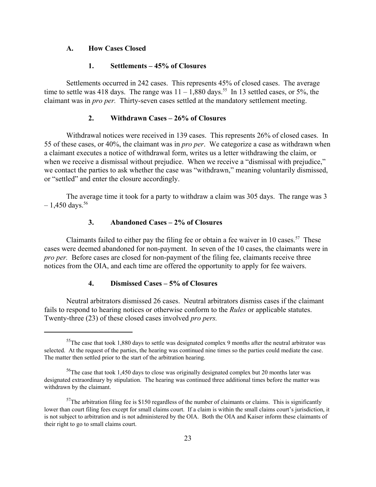#### **A. How Cases Closed**

#### **1. Settlements – 45% of Closures**

Settlements occurred in 242 cases. This represents 45% of closed cases. The average time to settle was 418 days. The range was  $11 - 1,880$  days.<sup>55</sup> In 13 settled cases, or 5%, the claimant was in *pro per.* Thirty-seven cases settled at the mandatory settlement meeting.

#### **2. Withdrawn Cases – 26% of Closures**

Withdrawal notices were received in 139 cases. This represents 26% of closed cases. In 55 of these cases, or 40%, the claimant was in *pro per*. We categorize a case as withdrawn when a claimant executes a notice of withdrawal form, writes us a letter withdrawing the claim, or when we receive a dismissal without prejudice. When we receive a "dismissal with prejudice," we contact the parties to ask whether the case was "withdrawn," meaning voluntarily dismissed, or "settled" and enter the closure accordingly.

The average time it took for a party to withdraw a claim was 305 days. The range was 3  $-1,450$  days.<sup>56</sup>

#### **3. Abandoned Cases – 2% of Closures**

Claimants failed to either pay the filing fee or obtain a fee waiver in 10 cases.<sup>57</sup> These cases were deemed abandoned for non-payment. In seven of the 10 cases, the claimants were in *pro per.* Before cases are closed for non-payment of the filing fee, claimants receive three notices from the OIA, and each time are offered the opportunity to apply for fee waivers.

#### **4. Dismissed Cases – 5% of Closures**

Neutral arbitrators dismissed 26 cases. Neutral arbitrators dismiss cases if the claimant fails to respond to hearing notices or otherwise conform to the *Rules* or applicable statutes. Twenty-three (23) of these closed cases involved *pro pers.* 

 $<sup>55</sup>$ The case that took 1,880 days to settle was designated complex 9 months after the neutral arbitrator was</sup> selected. At the request of the parties, the hearing was continued nine times so the parties could mediate the case. The matter then settled prior to the start of the arbitration hearing.

<sup>&</sup>lt;sup>56</sup>The case that took 1,450 days to close was originally designated complex but 20 months later was designated extraordinary by stipulation. The hearing was continued three additional times before the matter was withdrawn by the claimant.

 $57$ The arbitration filing fee is \$150 regardless of the number of claimants or claims. This is significantly lower than court filing fees except for small claims court. If a claim is within the small claims court's jurisdiction, it is not subject to arbitration and is not administered by the OIA. Both the OIA and Kaiser inform these claimants of their right to go to small claims court.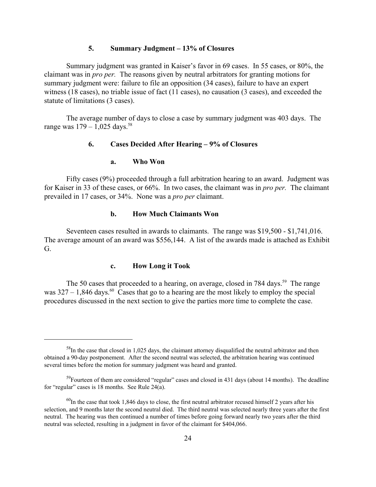#### **5. Summary Judgment – 13% of Closures**

Summary judgment was granted in Kaiser's favor in 69 cases. In 55 cases, or 80%, the claimant was in *pro per.* The reasons given by neutral arbitrators for granting motions for summary judgment were: failure to file an opposition (34 cases), failure to have an expert witness (18 cases), no triable issue of fact (11 cases), no causation (3 cases), and exceeded the statute of limitations (3 cases).

The average number of days to close a case by summary judgment was 403 days. The range was  $179 - 1.025$  days.<sup>58</sup>

# **6. Cases Decided After Hearing – 9% of Closures**

#### **a. Who Won**

Fifty cases (9%) proceeded through a full arbitration hearing to an award. Judgment was for Kaiser in 33 of these cases, or 66%. In two cases, the claimant was in *pro per.* The claimant prevailed in 17 cases, or 34%. None was a *pro per* claimant.

# **b. How Much Claimants Won**

Seventeen cases resulted in awards to claimants. The range was \$19,500 - \$1,741,016. The average amount of an award was \$556,144. A list of the awards made is attached as Exhibit G.

# **c. How Long it Took**

The 50 cases that proceeded to a hearing, on average, closed in 784 days.<sup>59</sup> The range was  $327 - 1,846$  days.<sup>60</sup> Cases that go to a hearing are the most likely to employ the special procedures discussed in the next section to give the parties more time to complete the case.

 $58$ In the case that closed in 1,025 days, the claimant attorney disqualified the neutral arbitrator and then obtained a 90-day postponement. After the second neutral was selected, the arbitration hearing was continued several times before the motion for summary judgment was heard and granted.

<sup>&</sup>lt;sup>59</sup>Fourteen of them are considered "regular" cases and closed in 431 days (about 14 months). The deadline for "regular" cases is 18 months. See Rule 24(a).

 $^{60}$ In the case that took 1,846 days to close, the first neutral arbitrator recused himself 2 years after his selection, and 9 months later the second neutral died. The third neutral was selected nearly three years after the first neutral. The hearing was then continued a number of times before going forward nearly two years after the third neutral was selected, resulting in a judgment in favor of the claimant for \$404,066.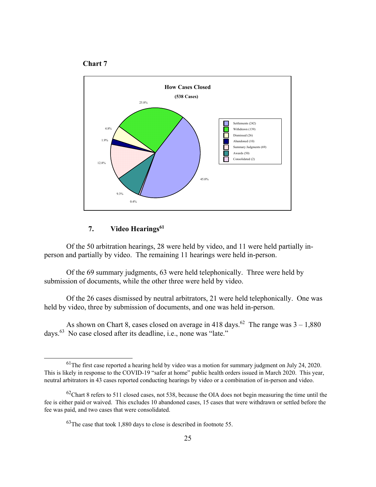



# 7. Video Hearings<sup>61</sup>

 Of the 50 arbitration hearings, 28 were held by video, and 11 were held partially inperson and partially by video. The remaining 11 hearings were held in-person.

 Of the 69 summary judgments, 63 were held telephonically. Three were held by submission of documents, while the other three were held by video.

 Of the 26 cases dismissed by neutral arbitrators, 21 were held telephonically. One was held by video, three by submission of documents, and one was held in-person.

As shown on Chart 8, cases closed on average in 418 days.<sup>62</sup> The range was  $3 - 1,880$ days.63 No case closed after its deadline, i.e., none was "late."

<sup>&</sup>lt;sup>61</sup>The first case reported a hearing held by video was a motion for summary judgment on July 24, 2020. This is likely in response to the COVID-19 "safer at home" public health orders issued in March 2020. This year, neutral arbitrators in 43 cases reported conducting hearings by video or a combination of in-person and video.

 $62$ Chart 8 refers to 511 closed cases, not 538, because the OIA does not begin measuring the time until the fee is either paid or waived. This excludes 10 abandoned cases, 15 cases that were withdrawn or settled before the fee was paid, and two cases that were consolidated.

 $^{63}$ The case that took 1,880 days to close is described in footnote 55.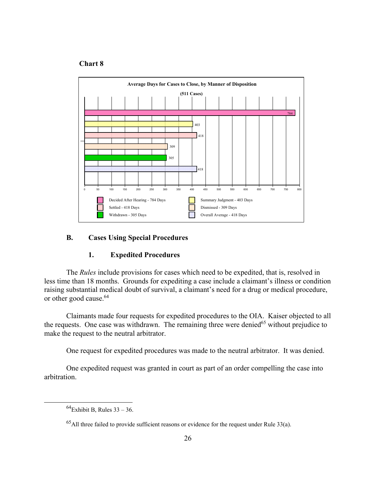#### **Chart 8**



#### **B. Cases Using Special Procedures**

# **1. Expedited Procedures**

 The *Rules* include provisions for cases which need to be expedited, that is, resolved in less time than 18 months. Grounds for expediting a case include a claimant's illness or condition raising substantial medical doubt of survival, a claimant's need for a drug or medical procedure, or other good cause.<sup>64</sup>

 Claimants made four requests for expedited procedures to the OIA. Kaiser objected to all the requests. One case was withdrawn. The remaining three were denied<sup>65</sup> without prejudice to make the request to the neutral arbitrator.

One request for expedited procedures was made to the neutral arbitrator. It was denied.

 One expedited request was granted in court as part of an order compelling the case into arbitration.

 $^{64}$ Exhibit B, Rules 33 – 36.

 $^{65}$ All three failed to provide sufficient reasons or evidence for the request under Rule 33(a).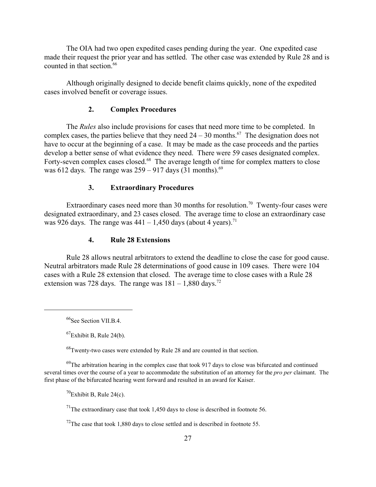The OIA had two open expedited cases pending during the year. One expedited case made their request the prior year and has settled. The other case was extended by Rule 28 and is counted in that section.<sup>66</sup>

Although originally designed to decide benefit claims quickly, none of the expedited cases involved benefit or coverage issues.

#### **2. Complex Procedures**

The *Rules* also include provisions for cases that need more time to be completed. In complex cases, the parties believe that they need  $24 - 30$  months.<sup>67</sup> The designation does not have to occur at the beginning of a case. It may be made as the case proceeds and the parties develop a better sense of what evidence they need. There were 59 cases designated complex. Forty-seven complex cases closed.<sup>68</sup> The average length of time for complex matters to close was 612 days. The range was  $259 - 917$  days  $(31 \text{ months})^{69}$ .

#### **3. Extraordinary Procedures**

Extraordinary cases need more than 30 months for resolution.<sup>70</sup> Twenty-four cases were designated extraordinary, and 23 cases closed. The average time to close an extraordinary case was 926 days. The range was  $441 - 1,450$  days (about 4 years).<sup>71</sup>

# **4. Rule 28 Extensions**

Rule 28 allows neutral arbitrators to extend the deadline to close the case for good cause. Neutral arbitrators made Rule 28 determinations of good cause in 109 cases. There were 104 cases with a Rule 28 extension that closed. The average time to close cases with a Rule 28 extension was 728 days. The range was  $181 - 1,880$  days.<sup>72</sup>

 $^{68}$ Twenty-two cases were extended by Rule 28 and are counted in that section.

 $^{69}$ The arbitration hearing in the complex case that took 917 days to close was bifurcated and continued several times over the course of a year to accommodate the substitution of an attorney for the *pro per* claimant. The first phase of the bifurcated hearing went forward and resulted in an award for Kaiser.

 $^{70}$ Exhibit B, Rule 24(c).

 $^{71}$ The extraordinary case that took 1,450 days to close is described in footnote 56.

 $^{72}$ The case that took 1,880 days to close settled and is described in footnote 55.

<sup>&</sup>lt;sup>66</sup>See Section VII.B.4.

 ${}^{67}$ Exhibit B, Rule 24(b).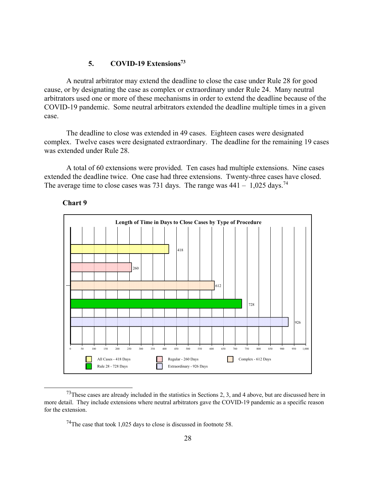#### **5. COVID-19 Extensions73**

 A neutral arbitrator may extend the deadline to close the case under Rule 28 for good cause, or by designating the case as complex or extraordinary under Rule 24. Many neutral arbitrators used one or more of these mechanisms in order to extend the deadline because of the COVID-19 pandemic. Some neutral arbitrators extended the deadline multiple times in a given case.

 The deadline to close was extended in 49 cases. Eighteen cases were designated complex. Twelve cases were designated extraordinary. The deadline for the remaining 19 cases was extended under Rule 28.

 A total of 60 extensions were provided. Ten cases had multiple extensions. Nine cases extended the deadline twice. One case had three extensions. Twenty-three cases have closed. The average time to close cases was 731 days. The range was  $441 - 1,025$  days.<sup>74</sup>





<sup>&</sup>lt;sup>73</sup>These cases are already included in the statistics in Sections 2, 3, and 4 above, but are discussed here in more detail. They include extensions where neutral arbitrators gave the COVID-19 pandemic as a specific reason for the extension.

 $^{74}$ The case that took 1,025 days to close is discussed in footnote 58.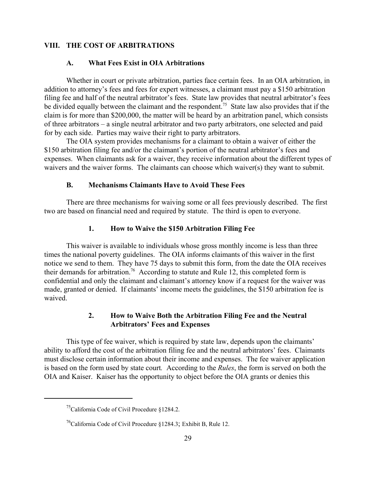#### **VIII. THE COST OF ARBITRATIONS**

#### **A. What Fees Exist in OIA Arbitrations**

Whether in court or private arbitration, parties face certain fees. In an OIA arbitration, in addition to attorney's fees and fees for expert witnesses, a claimant must pay a \$150 arbitration filing fee and half of the neutral arbitrator's fees. State law provides that neutral arbitrator's fees be divided equally between the claimant and the respondent.<sup>75</sup> State law also provides that if the claim is for more than \$200,000, the matter will be heard by an arbitration panel, which consists of three arbitrators – a single neutral arbitrator and two party arbitrators, one selected and paid for by each side. Parties may waive their right to party arbitrators.

The OIA system provides mechanisms for a claimant to obtain a waiver of either the \$150 arbitration filing fee and/or the claimant's portion of the neutral arbitrator's fees and expenses. When claimants ask for a waiver, they receive information about the different types of waivers and the waiver forms. The claimants can choose which waiver(s) they want to submit.

#### **B. Mechanisms Claimants Have to Avoid These Fees**

There are three mechanisms for waiving some or all fees previously described. The first two are based on financial need and required by statute. The third is open to everyone.

#### **1. How to Waive the \$150 Arbitration Filing Fee**

This waiver is available to individuals whose gross monthly income is less than three times the national poverty guidelines. The OIA informs claimants of this waiver in the first notice we send to them. They have 75 days to submit this form, from the date the OIA receives their demands for arbitration.<sup>76</sup> According to statute and Rule 12, this completed form is confidential and only the claimant and claimant's attorney know if a request for the waiver was made, granted or denied. If claimants' income meets the guidelines, the \$150 arbitration fee is waived.

# **2. How to Waive Both the Arbitration Filing Fee and the Neutral Arbitrators' Fees and Expenses**

This type of fee waiver, which is required by state law, depends upon the claimants' ability to afford the cost of the arbitration filing fee and the neutral arbitrators' fees.Claimants must disclose certain information about their income and expenses. The fee waiver application is based on the form used by state court*.* According to the *Rules*, the form is served on both the OIA and Kaiser. Kaiser has the opportunity to object before the OIA grants or denies this

<sup>&</sup>lt;sup>75</sup>California Code of Civil Procedure §1284.2.

<sup>&</sup>lt;sup>76</sup>California Code of Civil Procedure §1284.3; Exhibit B, Rule 12.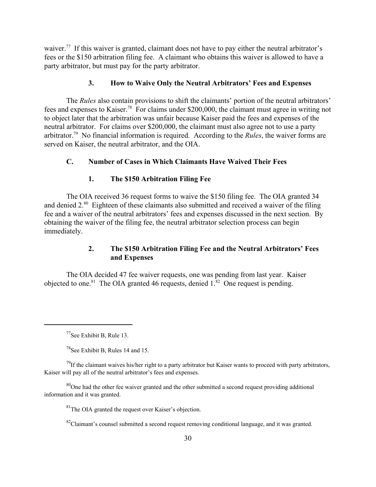waiver.<sup>77</sup> If this waiver is granted, claimant does not have to pay either the neutral arbitrator's fees or the \$150 arbitration filing fee. A claimant who obtains this waiver is allowed to have a party arbitrator, but must pay for the party arbitrator.

# **3. How to Waive Only the Neutral Arbitrators' Fees and Expenses**

The *Rules* also contain provisions to shift the claimants' portion of the neutral arbitrators' fees and expenses to Kaiser.78For claims under \$200,000, the claimant must agree in writing not to object later that the arbitration was unfair because Kaiser paid the fees and expenses of the neutral arbitrator. For claims over \$200,000, the claimant must also agree not to use a party arbitrator.79 No financial information is required. According to the *Rules*, the waiver forms are served on Kaiser, the neutral arbitrator, and the OIA.

# **C. Number of Cases in Which Claimants Have Waived Their Fees**

# **1. The \$150 Arbitration Filing Fee**

The OIA received 36 request forms to waive the \$150 filing fee. The OIA granted 34 and denied 2.<sup>80</sup> Eighteen of these claimants also submitted and received a waiver of the filing fee and a waiver of the neutral arbitrators' fees and expenses discussed in the next section. By obtaining the waiver of the filing fee, the neutral arbitrator selection process can begin immediately.

# **2. The \$150 Arbitration Filing Fee and the Neutral Arbitrators' Fees and Expenses**

The OIA decided 47 fee waiver requests, one was pending from last year. Kaiser objected to one.<sup>81</sup> The OIA granted 46 requests, denied  $1.^{82}$  One request is pending.

<sup>77</sup>See Exhibit B, Rule 13.

 $^{78}$ See Exhibit B, Rules 14 and 15.

 $^{79}$ If the claimant waives his/her right to a party arbitrator but Kaiser wants to proceed with party arbitrators, Kaiser will pay all of the neutral arbitrator's fees and expenses.

 $80$ One had the other fee waiver granted and the other submitted a second request providing additional information and it was granted.

 ${}^{81}$ The OIA granted the request over Kaiser's objection.

 $82$ Claimant's counsel submitted a second request removing conditional language, and it was granted.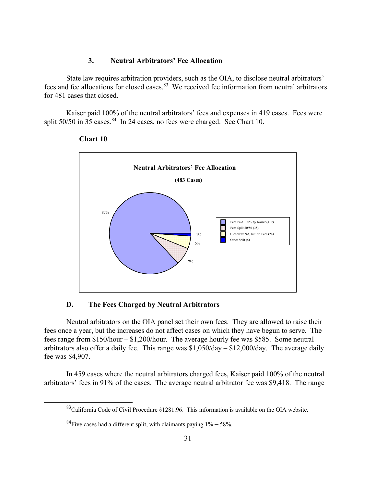# **3. Neutral Arbitrators' Fee Allocation**

State law requires arbitration providers, such as the OIA, to disclose neutral arbitrators' fees and fee allocations for closed cases.<sup>83</sup> We received fee information from neutral arbitrators for 481 cases that closed.

 Kaiser paid 100% of the neutral arbitrators' fees and expenses in 419 cases. Fees were split  $50/50$  in 35 cases. <sup>84</sup> In 24 cases, no fees were charged. See Chart 10.



#### **Chart 10**

# **D. The Fees Charged by Neutral Arbitrators**

 Neutral arbitrators on the OIA panel set their own fees. They are allowed to raise their fees once a year, but the increases do not affect cases on which they have begun to serve. The fees range from \$150/hour – \$1,200/hour. The average hourly fee was \$585. Some neutral arbitrators also offer a daily fee. This range was  $\frac{1,050}{\text{day}} - \frac{12,000}{\text{day}}$ . The average daily fee was \$4,907.

 In 459 cases where the neutral arbitrators charged fees, Kaiser paid 100% of the neutral arbitrators' fees in 91% of the cases. The average neutral arbitrator fee was \$9,418. The range

<sup>83</sup>California Code of Civil Procedure §1281.96. This information is available on the OIA website.

 ${}^{84}$ Five cases had a different split, with claimants paying  $1\% - 58\%$ .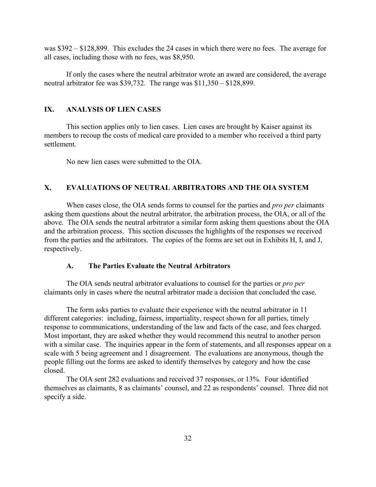was \$392 – \$128,899. This excludes the 24 cases in which there were no fees. The average for all cases, including those with no fees, was \$8,950.

If only the cases where the neutral arbitrator wrote an award are considered, the average neutral arbitrator fee was \$39,732. The range was \$11,350 – \$128,899.

# **IX. ANALYSIS OF LIEN CASES**

This section applies only to lien cases. Lien cases are brought by Kaiser against its members to recoup the costs of medical care provided to a member who received a third party settlement.

No new lien cases were submitted to the OIA.

# **X. EVALUATIONS OF NEUTRAL ARBITRATORS AND THE OIA SYSTEM**

When cases close, the OIA sends forms to counsel for the parties and *pro per* claimants asking them questions about the neutral arbitrator, the arbitration process, the OIA, or all of the above. The OIA sends the neutral arbitrator a similar form asking them questions about the OIA and the arbitration process. This section discusses the highlights of the responses we received from the parties and the arbitrators. The copies of the forms are set out in Exhibits H, I, and J, respectively.

#### **A. The Parties Evaluate the Neutral Arbitrators**

The OIA sends neutral arbitrator evaluations to counsel for the parties or *pro per* claimants only in cases where the neutral arbitrator made a decision that concluded the case.

The form asks parties to evaluate their experience with the neutral arbitrator in 11 different categories: including, fairness, impartiality, respect shown for all parties, timely response to communications, understanding of the law and facts of the case, and fees charged. Most important, they are asked whether they would recommend this neutral to another person with a similar case. The inquiries appear in the form of statements, and all responses appear on a scale with 5 being agreement and 1 disagreement. The evaluations are anonymous, though the people filling out the forms are asked to identify themselves by category and how the case closed.

The OIA sent 282 evaluations and received 37 responses, or 13%. Four identified themselves as claimants, 8 as claimants' counsel, and 22 as respondents' counsel. Three did not specify a side.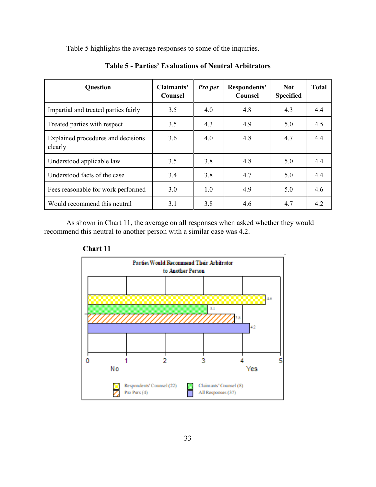Table 5 highlights the average responses to some of the inquiries.

| <b>Question</b>                               | Claimants'<br>Counsel | Pro per | Respondents'<br><b>Counsel</b> | Not.<br><b>Specified</b> | <b>Total</b> |
|-----------------------------------------------|-----------------------|---------|--------------------------------|--------------------------|--------------|
| Impartial and treated parties fairly          | 3.5                   | 4.0     | 4.8                            | 4.3                      | 4.4          |
| Treated parties with respect                  | 4.3<br>4.9<br>3.5     |         |                                | 5.0                      | 4.5          |
| Explained procedures and decisions<br>clearly | 3.6                   | 4.0     | 4.8                            | 4.7                      | 4.4          |
| Understood applicable law                     | 3.5                   | 3.8     | 4.8                            | 5.0                      | 4.4          |
| Understood facts of the case                  | 3.4                   | 3.8     | 4.7                            | 5.0                      | 4.4          |
| Fees reasonable for work performed            | 3.0                   | 1.0     | 4.9                            | 5.0                      | 4.6          |
| Would recommend this neutral                  | 3.1                   | 3.8     | 4.6                            | 4.7                      | 4.2          |

**Table 5 - Parties' Evaluations of Neutral Arbitrators**

As shown in Chart 11, the average on all responses when asked whether they would recommend this neutral to another person with a similar case was 4.2.



**Chart 11**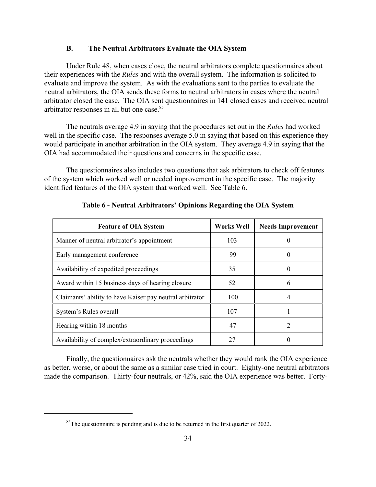#### **B. The Neutral Arbitrators Evaluate the OIA System**

Under Rule 48, when cases close, the neutral arbitrators complete questionnaires about their experiences with the *Rules* and with the overall system. The information is solicited to evaluate and improve the system. As with the evaluations sent to the parties to evaluate the neutral arbitrators, the OIA sends these forms to neutral arbitrators in cases where the neutral arbitrator closed the case. The OIA sent questionnaires in 141 closed cases and received neutral arbitrator responses in all but one case.<sup>85</sup>

The neutrals average 4.9 in saying that the procedures set out in the *Rules* had worked well in the specific case. The responses average 5.0 in saying that based on this experience they would participate in another arbitration in the OIA system. They average 4.9 in saying that the OIA had accommodated their questions and concerns in the specific case.

The questionnaires also includes two questions that ask arbitrators to check off features of the system which worked well or needed improvement in the specific case. The majority identified features of the OIA system that worked well. See Table 6.

| <b>Feature of OIA System</b>                             | <b>Works Well</b> | <b>Needs Improvement</b> |
|----------------------------------------------------------|-------------------|--------------------------|
| Manner of neutral arbitrator's appointment               | 103               |                          |
| Early management conference                              | 99                |                          |
| Availability of expedited proceedings                    | 35                | 0                        |
| Award within 15 business days of hearing closure         | 52                | 6                        |
| Claimants' ability to have Kaiser pay neutral arbitrator | 100               | 4                        |
| System's Rules overall                                   | 107               |                          |
| Hearing within 18 months                                 | 47                |                          |
| Availability of complex/extraordinary proceedings        | 27                |                          |

**Table 6 - Neutral Arbitrators' Opinions Regarding the OIA System**

Finally, the questionnaires ask the neutrals whether they would rank the OIA experience as better, worse, or about the same as a similar case tried in court. Eighty-one neutral arbitrators made the comparison. Thirty-four neutrals, or 42%, said the OIA experience was better. Forty-

 $85$ The questionnaire is pending and is due to be returned in the first quarter of 2022.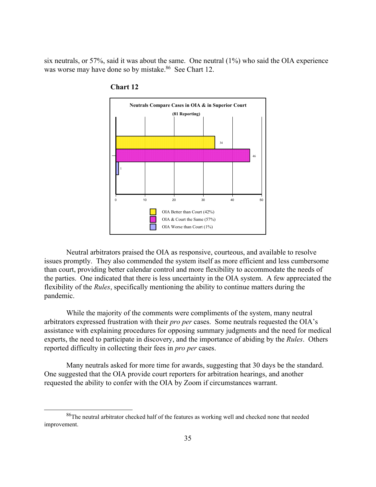six neutrals, or 57%, said it was about the same. One neutral (1%) who said the OIA experience was worse may have done so by mistake.<sup>86</sup> See Chart 12.





 Neutral arbitrators praised the OIA as responsive, courteous, and available to resolve issues promptly. They also commended the system itself as more efficient and less cumbersome than court, providing better calendar control and more flexibility to accommodate the needs of the parties. One indicated that there is less uncertainty in the OIA system. A few appreciated the flexibility of the *Rules*, specifically mentioning the ability to continue matters during the pandemic.

 While the majority of the comments were compliments of the system, many neutral arbitrators expressed frustration with their *pro per* cases. Some neutrals requested the OIA's assistance with explaining procedures for opposing summary judgments and the need for medical experts, the need to participate in discovery, and the importance of abiding by the *Rules*. Others reported difficulty in collecting their fees in *pro per* cases.

 Many neutrals asked for more time for awards, suggesting that 30 days be the standard. One suggested that the OIA provide court reporters for arbitration hearings, and another requested the ability to confer with the OIA by Zoom if circumstances warrant.

<sup>86</sup>The neutral arbitrator checked half of the features as working well and checked none that needed improvement.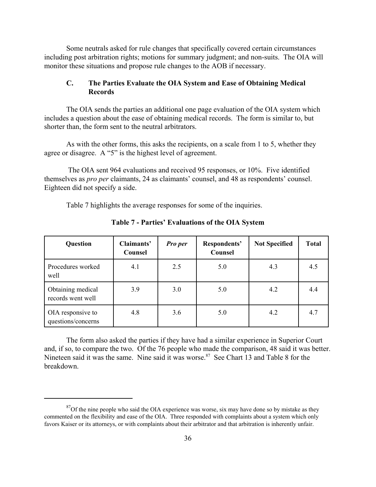Some neutrals asked for rule changes that specifically covered certain circumstances including post arbitration rights; motions for summary judgment; and non-suits. The OIA will monitor these situations and propose rule changes to the AOB if necessary.

# **C. The Parties Evaluate the OIA System and Ease of Obtaining Medical Records**

The OIA sends the parties an additional one page evaluation of the OIA system which includes a question about the ease of obtaining medical records. The form is similar to, but shorter than, the form sent to the neutral arbitrators.

As with the other forms, this asks the recipients, on a scale from 1 to 5, whether they agree or disagree. A "5" is the highest level of agreement.

 The OIA sent 964 evaluations and received 95 responses, or 10%. Five identified themselves as *pro per* claimants, 24 as claimants' counsel, and 48 as respondents' counsel. Eighteen did not specify a side.

Table 7 highlights the average responses for some of the inquiries.

| Question                                | Claimants'<br>Counsel | Pro per | Respondents'<br>Counsel | <b>Not Specified</b> | <b>Total</b> |
|-----------------------------------------|-----------------------|---------|-------------------------|----------------------|--------------|
| Procedures worked<br>well               | 4.1                   | 2.5     | 5.0                     | 4.3                  | 4.5          |
| Obtaining medical<br>records went well  | 3.9                   | 3.0     | 5.0                     | 4.2                  | 4.4          |
| OIA responsive to<br>questions/concerns | 4.8                   | 3.6     | 5.0                     | 4.2                  | 4.7          |

**Table 7 - Parties' Evaluations of the OIA System**

The form also asked the parties if they have had a similar experience in Superior Court and, if so, to compare the two. Of the 76 people who made the comparison, 48 said it was better. Nineteen said it was the same. Nine said it was worse.<sup>87</sup> See Chart 13 and Table 8 for the breakdown.

 $87$ Of the nine people who said the OIA experience was worse, six may have done so by mistake as they commented on the flexibility and ease of the OIA. Three responded with complaints about a system which only favors Kaiser or its attorneys, or with complaints about their arbitrator and that arbitration is inherently unfair.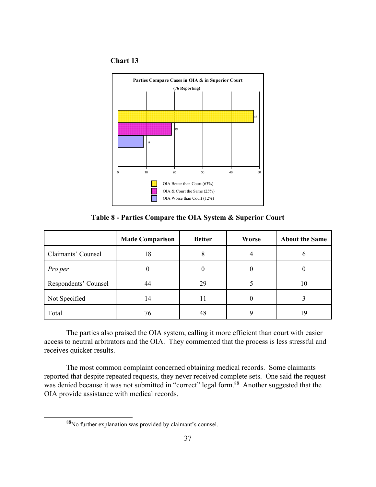# **Chart 13**



**Table 8 - Parties Compare the OIA System & Superior Court**

|                      | <b>Made Comparison</b> | <b>Better</b> | Worse | <b>About the Same</b> |
|----------------------|------------------------|---------------|-------|-----------------------|
| Claimants' Counsel   | 18                     |               |       | n                     |
| Pro per              |                        |               |       |                       |
| Respondents' Counsel | 44                     | 29            |       | 10                    |
| Not Specified        | 14                     | 11            |       |                       |
| Total                | 76                     | 48            |       | 19                    |

 The parties also praised the OIA system, calling it more efficient than court with easier access to neutral arbitrators and the OIA. They commented that the process is less stressful and receives quicker results.

 The most common complaint concerned obtaining medical records. Some claimants reported that despite repeated requests, they never received complete sets. One said the request was denied because it was not submitted in "correct" legal form.<sup>88</sup> Another suggested that the OIA provide assistance with medical records.

<sup>88</sup>No further explanation was provided by claimant's counsel.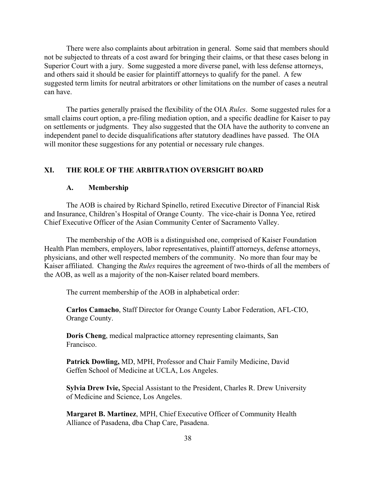There were also complaints about arbitration in general. Some said that members should not be subjected to threats of a cost award for bringing their claims, or that these cases belong in Superior Court with a jury. Some suggested a more diverse panel, with less defense attorneys, and others said it should be easier for plaintiff attorneys to qualify for the panel. A few suggested term limits for neutral arbitrators or other limitations on the number of cases a neutral can have.

The parties generally praised the flexibility of the OIA *Rules*. Some suggested rules for a small claims court option, a pre-filing mediation option, and a specific deadline for Kaiser to pay on settlements or judgments. They also suggested that the OIA have the authority to convene an independent panel to decide disqualifications after statutory deadlines have passed. The OIA will monitor these suggestions for any potential or necessary rule changes.

# **XI. THE ROLE OF THE ARBITRATION OVERSIGHT BOARD**

#### **A. Membership**

The AOB is chaired by Richard Spinello, retired Executive Director of Financial Risk and Insurance, Children's Hospital of Orange County. The vice-chair is Donna Yee, retired Chief Executive Officer of the Asian Community Center of Sacramento Valley.

The membership of the AOB is a distinguished one, comprised of Kaiser Foundation Health Plan members, employers, labor representatives, plaintiff attorneys, defense attorneys, physicians, and other well respected members of the community. No more than four may be Kaiser affiliated. Changing the *Rules* requires the agreement of two-thirds of all the members of the AOB, as well as a majority of the non-Kaiser related board members.

The current membership of the AOB in alphabetical order:

**Carlos Camacho**, Staff Director for Orange County Labor Federation, AFL-CIO, Orange County.

**Doris Cheng**, medical malpractice attorney representing claimants, San Francisco.

**Patrick Dowling,** MD, MPH, Professor and Chair Family Medicine, David Geffen School of Medicine at UCLA, Los Angeles.

**Sylvia Drew Ivie,** Special Assistant to the President, Charles R. Drew University of Medicine and Science, Los Angeles.

**Margaret B. Martinez**, MPH, Chief Executive Officer of Community Health Alliance of Pasadena, dba Chap Care, Pasadena.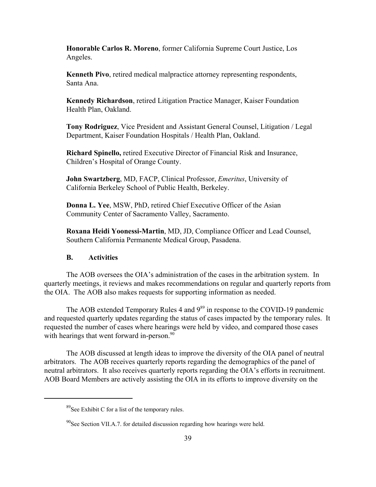**Honorable Carlos R. Moreno**, former California Supreme Court Justice, Los Angeles.

**Kenneth Pivo**, retired medical malpractice attorney representing respondents, Santa Ana.

**Kennedy Richardson**, retired Litigation Practice Manager, Kaiser Foundation Health Plan, Oakland.

**Tony Rodriguez**, Vice President and Assistant General Counsel, Litigation / Legal Department, Kaiser Foundation Hospitals / Health Plan, Oakland.

**Richard Spinello,** retired Executive Director of Financial Risk and Insurance, Children's Hospital of Orange County.

**John Swartzberg**, MD, FACP, Clinical Professor, *Emeritus*, University of California Berkeley School of Public Health, Berkeley.

**Donna L. Yee**, MSW, PhD, retired Chief Executive Officer of the Asian Community Center of Sacramento Valley, Sacramento.

**Roxana Heidi Yoonessi-Martin**, MD, JD, Compliance Officer and Lead Counsel, Southern California Permanente Medical Group, Pasadena.

#### **B. Activities**

The AOB oversees the OIA's administration of the cases in the arbitration system. In quarterly meetings, it reviews and makes recommendations on regular and quarterly reports from the OIA. The AOB also makes requests for supporting information as needed.

The AOB extended Temporary Rules 4 and 9<sup>89</sup> in response to the COVID-19 pandemic and requested quarterly updates regarding the status of cases impacted by the temporary rules. It requested the number of cases where hearings were held by video, and compared those cases with hearings that went forward in-person.<sup>90</sup>

The AOB discussed at length ideas to improve the diversity of the OIA panel of neutral arbitrators. The AOB receives quarterly reports regarding the demographics of the panel of neutral arbitrators. It also receives quarterly reports regarding the OIA's efforts in recruitment. AOB Board Members are actively assisting the OIA in its efforts to improve diversity on the

 $89$ See Exhibit C for a list of the temporary rules.

 $90$ See Section VII.A.7. for detailed discussion regarding how hearings were held.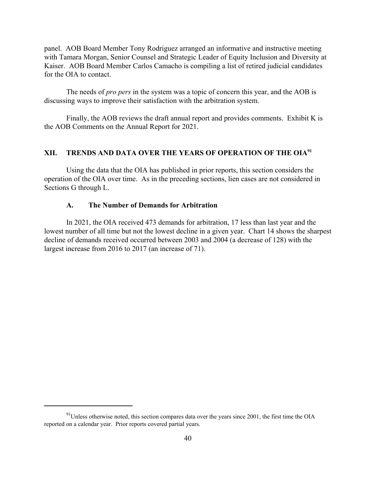panel. AOB Board Member Tony Rodriguez arranged an informative and instructive meeting with Tamara Morgan, Senior Counsel and Strategic Leader of Equity Inclusion and Diversity at Kaiser. AOB Board Member Carlos Camacho is compiling a list of retired judicial candidates for the OIA to contact.

The needs of *pro pers* in the system was a topic of concern this year, and the AOB is discussing ways to improve their satisfaction with the arbitration system.

Finally, the AOB reviews the draft annual report and provides comments. Exhibit K is the AOB Comments on the Annual Report for 2021.

# **XII. TRENDS AND DATA OVER THE YEARS OF OPERATION OF THE OIA91**

Using the data that the OIA has published in prior reports, this section considers the operation of the OIA over time. As in the preceding sections, lien cases are not considered in Sections G through L.

#### **A. The Number of Demands for Arbitration**

In 2021, the OIA received 473 demands for arbitration, 17 less than last year and the lowest number of all time but not the lowest decline in a given year. Chart 14 shows the sharpest decline of demands received occurred between 2003 and 2004 (a decrease of 128) with the largest increase from 2016 to 2017 (an increase of 71).

 $91$ Unless otherwise noted, this section compares data over the years since 2001, the first time the OIA reported on a calendar year. Prior reports covered partial years.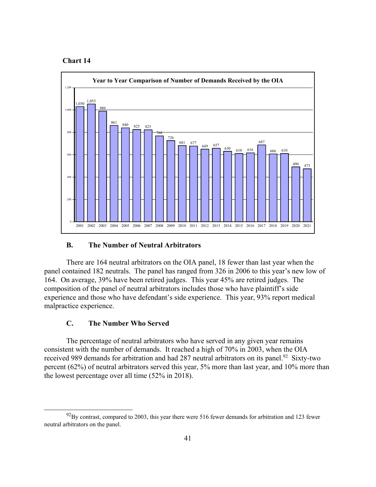#### **Chart 14**



#### **B. The Number of Neutral Arbitrators**

 There are 164 neutral arbitrators on the OIA panel, 18 fewer than last year when the panel contained 182 neutrals. The panel has ranged from 326 in 2006 to this year's new low of 164. On average, 39% have been retired judges. This year 45% are retired judges. The composition of the panel of neutral arbitrators includes those who have plaintiff's side experience and those who have defendant's side experience. This year, 93% report medical malpractice experience.

#### **C. The Number Who Served**

 The percentage of neutral arbitrators who have served in any given year remains consistent with the number of demands. It reached a high of 70% in 2003, when the OIA received 989 demands for arbitration and had 287 neutral arbitrators on its panel.<sup>92</sup> Sixty-two percent (62%) of neutral arbitrators served this year, 5% more than last year, and 10% more than the lowest percentage over all time (52% in 2018).

 $92$ By contrast, compared to 2003, this year there were 516 fewer demands for arbitration and 123 fewer neutral arbitrators on the panel.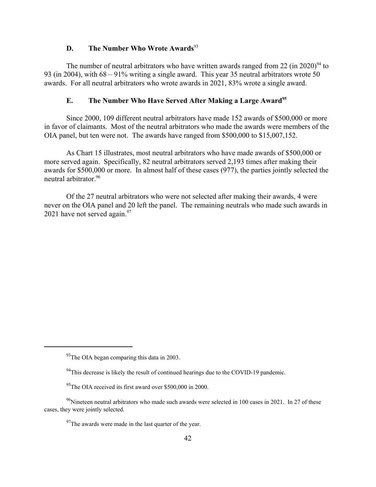# **D.** The Number Who Wrote Awards<sup>93</sup>

The number of neutral arbitrators who have written awards ranged from 22 (in 2020)<sup>94</sup> to 93 (in 2004), with 68 – 91% writing a single award. This year 35 neutral arbitrators wrote 50 awards. For all neutral arbitrators who wrote awards in 2021, 83% wrote a single award.

# **E.** The Number Who Have Served After Making a Large Award<sup>95</sup>

Since 2000, 109 different neutral arbitrators have made 152 awards of \$500,000 or more in favor of claimants. Most of the neutral arbitrators who made the awards were members of the OIA panel, but ten were not. The awards have ranged from \$500,000 to \$15,007,152.

As Chart 15 illustrates, most neutral arbitrators who have made awards of \$500,000 or more served again. Specifically, 82 neutral arbitrators served 2,193 times after making their awards for \$500,000 or more. In almost half of these cases (977), the parties jointly selected the neutral arbitrator.96

Of the 27 neutral arbitrators who were not selected after making their awards, 4 were never on the OIA panel and 20 left the panel. The remaining neutrals who made such awards in 2021 have not served again.  $97$ 

 $93$ The OIA began comparing this data in 2003.

<sup>&</sup>lt;sup>94</sup>This decrease is likely the result of continued hearings due to the COVID-19 pandemic.

 $95$ The OIA received its first award over \$500,000 in 2000.

 $96$ Nineteen neutral arbitrators who made such awards were selected in 100 cases in 2021. In 27 of these cases, they were jointly selected.

 $97$ The awards were made in the last quarter of the year.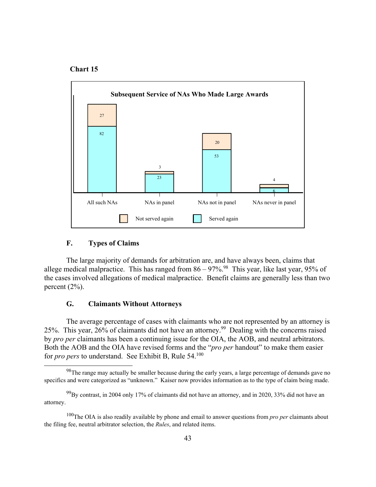



#### **F. Types of Claims**

 The large majority of demands for arbitration are, and have always been, claims that allege medical malpractice. This has ranged from  $86 - 97\%$ .<sup>98</sup> This year, like last year, 95% of the cases involved allegations of medical malpractice. Benefit claims are generally less than two percent (2%).

#### **G. Claimants Without Attorneys**

 The average percentage of cases with claimants who are not represented by an attorney is 25%. This year, 26% of claimants did not have an attorney.99 Dealing with the concerns raised by *pro per* claimants has been a continuing issue for the OIA, the AOB, and neutral arbitrators. Both the AOB and the OIA have revised forms and the "*pro per* handout" to make them easier for *pro pers* to understand. See Exhibit B, Rule 54.<sup>100</sup>

 $98$ The range may actually be smaller because during the early years, a large percentage of demands gave no specifics and were categorized as "unknown." Kaiser now provides information as to the type of claim being made.

 $^{99}$ By contrast, in 2004 only 17% of claimants did not have an attorney, and in 2020, 33% did not have an attorney.

<sup>100</sup>The OIA is also readily available by phone and email to answer questions from *pro per* claimants about the filing fee, neutral arbitrator selection, the *Rules*, and related items.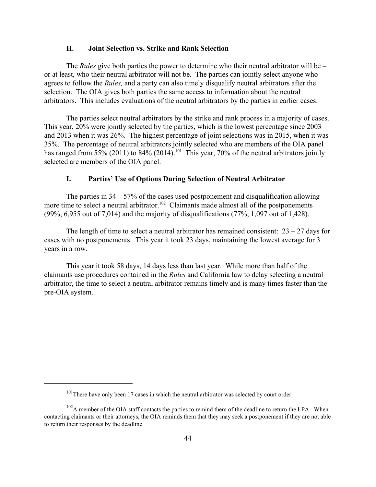#### **H. Joint Selection vs. Strike and Rank Selection**

The *Rules* give both parties the power to determine who their neutral arbitrator will be – or at least, who their neutral arbitrator will not be. The parties can jointly select anyone who agrees to follow the *Rules,* and a party can also timely disqualify neutral arbitrators after the selection. The OIA gives both parties the same access to information about the neutral arbitrators. This includes evaluations of the neutral arbitrators by the parties in earlier cases.

The parties select neutral arbitrators by the strike and rank process in a majority of cases. This year, 20% were jointly selected by the parties, which is the lowest percentage since 2003 and 2013 when it was 26%. The highest percentage of joint selections was in 2015, when it was 35%. The percentage of neutral arbitrators jointly selected who are members of the OIA panel has ranged from 55% (2011) to 84% (2014).<sup>101</sup> This year, 70% of the neutral arbitrators jointly selected are members of the OIA panel.

#### **I. Parties' Use of Options During Selection of Neutral Arbitrator**

The parties in  $34 - 57\%$  of the cases used postponement and disqualification allowing more time to select a neutral arbitrator.<sup>102</sup> Claimants made almost all of the postponements (99%, 6,955 out of 7,014) and the majority of disqualifications (77%, 1,097 out of 1,428).

The length of time to select a neutral arbitrator has remained consistent:  $23 - 27$  days for cases with no postponements. This year it took 23 days, maintaining the lowest average for 3 years in a row.

This year it took 58 days, 14 days less than last year. While more than half of the claimants use procedures contained in the *Rules* and California law to delay selecting a neutral arbitrator, the time to select a neutral arbitrator remains timely and is many times faster than the pre-OIA system.

 $101$ There have only been 17 cases in which the neutral arbitrator was selected by court order.

 $102A$  member of the OIA staff contacts the parties to remind them of the deadline to return the LPA. When contacting claimants or their attorneys, the OIA reminds them that they may seek a postponement if they are not able to return their responses by the deadline.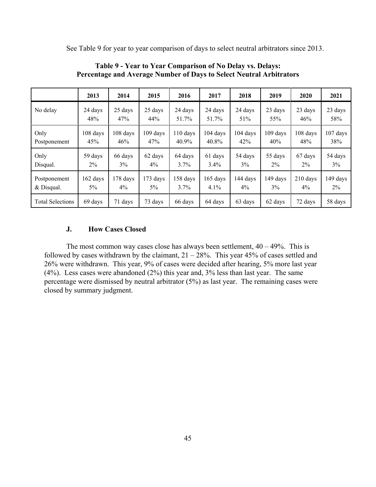See Table 9 for year to year comparison of days to select neutral arbitrators since 2013.

|                         | 2013       | 2014     | 2015     | 2016               | 2017               | 2018       | 2019       | 2020       | 2021       |
|-------------------------|------------|----------|----------|--------------------|--------------------|------------|------------|------------|------------|
| No delay                | 24 days    | 25 days  | 25 days  | 24 days            | 24 days            | 24 days    | 23 days    | 23 days    | 23 days    |
|                         | 48%        | 47%      | 44%      | 51.7%              | 51.7%              | 51%        | 55%        | 46%        | 58%        |
| Only                    | 108 days   | 108 days | 109 days | $110 \text{ days}$ | $104 \text{ days}$ | $104$ days | $109$ days | 108 days   | $107$ days |
| Postponement            | 45%        | 46%      | 47%      | 40.9%              | 40.8%              | 42%        | 40%        | 48%        | 38%        |
| Only                    | 59 days    | 66 days  | 62 days  | 64 days            | 61 days            | 54 days    | 55 days    | 67 days    | 54 days    |
| Disqual.                | $2\%$      | 3%       | $4\%$    | $3.7\%$            | $3.4\%$            | 3%         | $2\%$      | $2\%$      | 3%         |
| Postponement            | $162$ days | 178 days | 173 days | 158 days           | $165$ days         | 144 days   | 149 days   | $210$ days | 149 days   |
| & Disqual.              | $5\%$      | $4\%$    | $5\%$    | $3.7\%$            | $4.1\%$            | $4\%$      | $3\%$      | $4\%$      | $2\%$      |
| <b>Total Selections</b> | 69 days    | 71 days  | 73 days  | 66 days            | 64 days            | 63 days    | 62 days    | 72 days    | 58 days    |

**Table 9 - Year to Year Comparison of No Delay vs. Delays: Percentage and Average Number of Days to Select Neutral Arbitrators**

#### **J. How Cases Closed**

The most common way cases close has always been settlement,  $40 - 49\%$ . This is followed by cases withdrawn by the claimant,  $21 - 28\%$ . This year 45% of cases settled and 26% were withdrawn. This year, 9% of cases were decided after hearing, 5% more last year (4%). Less cases were abandoned (2%) this year and, 3% less than last year. The same percentage were dismissed by neutral arbitrator (5%) as last year. The remaining cases were closed by summary judgment.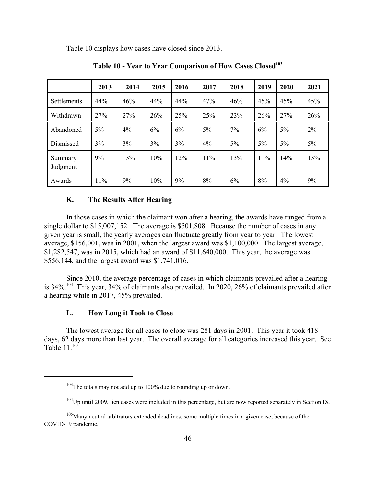Table 10 displays how cases have closed since 2013.

|                     | 2013  | 2014  | 2015 | 2016 | 2017  | 2018  | 2019  | 2020  | 2021  |
|---------------------|-------|-------|------|------|-------|-------|-------|-------|-------|
| Settlements         | 44%   | 46%   | 44%  | 44%  | 47%   | 46%   | 45%   | 45%   | 45%   |
| Withdrawn           | 27%   | 27%   | 26%  | 25%  | 25%   | 23%   | 26%   | 27%   | 26%   |
| Abandoned           | $5\%$ | $4\%$ | 6%   | 6%   | $5\%$ | 7%    | 6%    | $5\%$ | 2%    |
| Dismissed           | 3%    | 3%    | 3%   | 3%   | $4\%$ | $5\%$ | $5\%$ | 5%    | $5\%$ |
| Summary<br>Judgment | 9%    | 13%   | 10%  | 12%  | 11%   | 13%   | 11%   | 14%   | 13%   |
| Awards              | 11%   | 9%    | 10%  | 9%   | 8%    | 6%    | 8%    | 4%    | 9%    |

**Table 10 - Year to Year Comparison of How Cases Closed103**

# **K. The Results After Hearing**

In those cases in which the claimant won after a hearing, the awards have ranged from a single dollar to \$15,007,152. The average is \$501,808. Because the number of cases in any given year is small, the yearly averages can fluctuate greatly from year to year. The lowest average, \$156,001, was in 2001, when the largest award was \$1,100,000. The largest average, \$1,282,547, was in 2015, which had an award of \$11,640,000. This year, the average was \$556,144, and the largest award was \$1,741,016.

Since 2010, the average percentage of cases in which claimants prevailed after a hearing is 34%.<sup>104</sup> This year, 34% of claimants also prevailed. In 2020, 26% of claimants prevailed after a hearing while in 2017, 45% prevailed.

#### **L. How Long it Took to Close**

The lowest average for all cases to close was 281 days in 2001. This year it took 418 days, 62 days more than last year. The overall average for all categories increased this year. See Table  $11^{105}$ 

 $103$ The totals may not add up to 100% due to rounding up or down.

 $104$ Up until 2009, lien cases were included in this percentage, but are now reported separately in Section IX.

<sup>&</sup>lt;sup>105</sup>Many neutral arbitrators extended deadlines, some multiple times in a given case, because of the COVID-19 pandemic.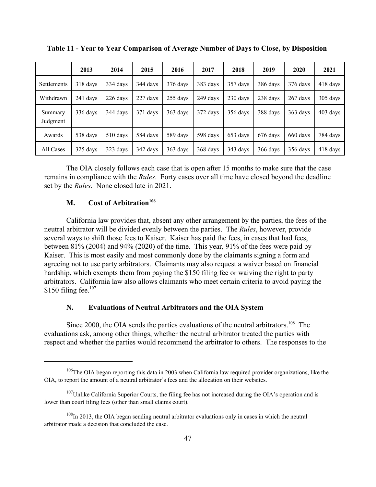|                     | 2013       | 2014     | 2015     | 2016       | 2017     | 2018     | 2019     | 2020       | 2021       |
|---------------------|------------|----------|----------|------------|----------|----------|----------|------------|------------|
| Settlements         | $318$ days | 334 days | 344 days | 376 days   | 383 days | 357 days | 386 days | 376 days   | $418$ days |
| Withdrawn           | 241 days   | 226 days | 227 days | $255$ days | 249 days | 230 days | 238 days | $267$ days | 305 days   |
| Summary<br>Judgment | 336 days   | 344 davs | 371 days | 363 days   | 372 days | 356 days | 388 days | 363 days   | $403$ days |
| Awards              | 538 days   | 510 days | 584 days | 589 days   | 598 days | 653 days | 676 days | 660 days   | 784 days   |
| All Cases           | 325 days   | 323 days | 342 days | 363 days   | 368 days | 343 days | 366 days | 356 days   | 418 days   |

**Table 11 - Year to Year Comparison of Average Number of Days to Close, by Disposition**

The OIA closely follows each case that is open after 15 months to make sure that the case remains in compliance with the *Rules*. Forty cases over all time have closed beyond the deadline set by the *Rules*. None closed late in 2021.

# **M.** Cost of Arbitration<sup>106</sup>

California law provides that, absent any other arrangement by the parties, the fees of the neutral arbitrator will be divided evenly between the parties. The *Rules*, however, provide several ways to shift those fees to Kaiser. Kaiser has paid the fees, in cases that had fees, between 81% (2004) and 94% (2020) of the time. This year, 91% of the fees were paid by Kaiser. This is most easily and most commonly done by the claimants signing a form and agreeing not to use party arbitrators. Claimants may also request a waiver based on financial hardship, which exempts them from paying the \$150 filing fee or waiving the right to party arbitrators. California law also allows claimants who meet certain criteria to avoid paying the  $$150$  filing fee.<sup>107</sup>

#### **N. Evaluations of Neutral Arbitrators and the OIA System**

Since 2000, the OIA sends the parties evaluations of the neutral arbitrators.<sup>108</sup> The evaluations ask, among other things, whether the neutral arbitrator treated the parties with respect and whether the parties would recommend the arbitrator to others. The responses to the

<sup>&</sup>lt;sup>106</sup>The OIA began reporting this data in 2003 when California law required provider organizations, like the OIA, to report the amount of a neutral arbitrator's fees and the allocation on their websites.

 $107$ Unlike California Superior Courts, the filing fee has not increased during the OIA's operation and is lower than court filing fees (other than small claims court).

 $108$ In 2013, the OIA began sending neutral arbitrator evaluations only in cases in which the neutral arbitrator made a decision that concluded the case.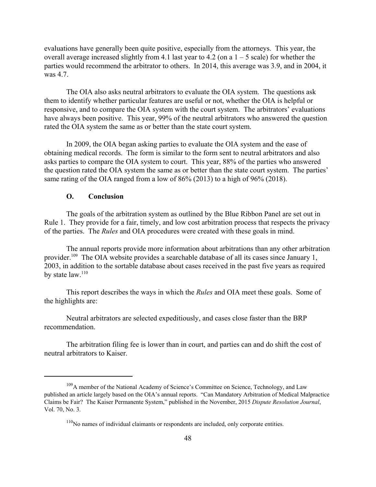evaluations have generally been quite positive, especially from the attorneys. This year, the overall average increased slightly from 4.1 last year to 4.2 (on a  $1 - 5$  scale) for whether the parties would recommend the arbitrator to others. In 2014, this average was 3.9, and in 2004, it was 4.7.

The OIA also asks neutral arbitrators to evaluate the OIA system. The questions ask them to identify whether particular features are useful or not, whether the OIA is helpful or responsive, and to compare the OIA system with the court system. The arbitrators' evaluations have always been positive. This year, 99% of the neutral arbitrators who answered the question rated the OIA system the same as or better than the state court system.

In 2009, the OIA began asking parties to evaluate the OIA system and the ease of obtaining medical records. The form is similar to the form sent to neutral arbitrators and also asks parties to compare the OIA system to court. This year, 88% of the parties who answered the question rated the OIA system the same as or better than the state court system. The parties' same rating of the OIA ranged from a low of 86% (2013) to a high of 96% (2018).

#### **O. Conclusion**

The goals of the arbitration system as outlined by the Blue Ribbon Panel are set out in Rule 1. They provide for a fair, timely, and low cost arbitration process that respects the privacy of the parties. The *Rules* and OIA procedures were created with these goals in mind.

The annual reports provide more information about arbitrations than any other arbitration provider.<sup>109</sup> The OIA website provides a searchable database of all its cases since January 1, 2003, in addition to the sortable database about cases received in the past five years as required by state law.<sup>110</sup>

This report describes the ways in which the *Rules* and OIA meet these goals. Some of the highlights are:

Neutral arbitrators are selected expeditiously, and cases close faster than the BRP recommendation.

The arbitration filing fee is lower than in court, and parties can and do shift the cost of neutral arbitrators to Kaiser.

 $109A$  member of the National Academy of Science's Committee on Science, Technology, and Law published an article largely based on the OIA's annual reports. "Can Mandatory Arbitration of Medical Malpractice Claims be Fair? The Kaiser Permanente System," published in the November, 2015 *Dispute Resolution Journal*, Vol. 70, No. 3.

 $110$ No names of individual claimants or respondents are included, only corporate entities.